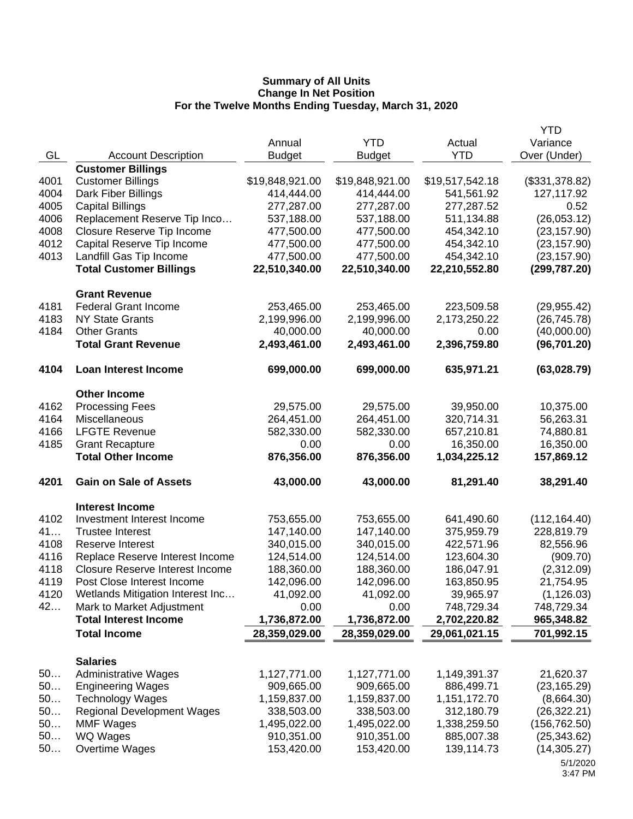|          |                                        |                 |                 |                 | <b>YTD</b>                   |
|----------|----------------------------------------|-----------------|-----------------|-----------------|------------------------------|
|          |                                        | Annual          | <b>YTD</b>      | Actual          | Variance                     |
| GL       | <b>Account Description</b>             | <b>Budget</b>   | <b>Budget</b>   | <b>YTD</b>      | Over (Under)                 |
|          | <b>Customer Billings</b>               |                 |                 |                 |                              |
| 4001     | <b>Customer Billings</b>               | \$19,848,921.00 | \$19,848,921.00 | \$19,517,542.18 | (\$331,378.82)               |
| 4004     | Dark Fiber Billings                    | 414,444.00      | 414,444.00      | 541,561.92      | 127,117.92                   |
| 4005     | <b>Capital Billings</b>                | 277,287.00      | 277,287.00      | 277,287.52      | 0.52                         |
| 4006     | Replacement Reserve Tip Inco           | 537,188.00      | 537,188.00      | 511,134.88      | (26,053.12)                  |
| 4008     | Closure Reserve Tip Income             | 477,500.00      | 477,500.00      | 454,342.10      | (23, 157.90)                 |
| 4012     | Capital Reserve Tip Income             | 477,500.00      | 477,500.00      | 454,342.10      | (23, 157.90)                 |
| 4013     | Landfill Gas Tip Income                | 477,500.00      | 477,500.00      | 454,342.10      | (23, 157.90)                 |
|          | <b>Total Customer Billings</b>         | 22,510,340.00   | 22,510,340.00   | 22,210,552.80   | (299, 787.20)                |
|          | <b>Grant Revenue</b>                   |                 |                 |                 |                              |
| 4181     | <b>Federal Grant Income</b>            | 253,465.00      | 253,465.00      | 223,509.58      | (29, 955.42)                 |
| 4183     | <b>NY State Grants</b>                 | 2,199,996.00    | 2,199,996.00    | 2,173,250.22    | (26, 745.78)                 |
| 4184     | <b>Other Grants</b>                    | 40,000.00       | 40,000.00       | 0.00            | (40,000.00)                  |
|          | <b>Total Grant Revenue</b>             | 2,493,461.00    | 2,493,461.00    | 2,396,759.80    | (96, 701.20)                 |
| 4104     | <b>Loan Interest Income</b>            | 699,000.00      | 699,000.00      | 635,971.21      | (63,028.79)                  |
|          | <b>Other Income</b>                    |                 |                 |                 |                              |
| 4162     | <b>Processing Fees</b>                 | 29,575.00       | 29,575.00       | 39,950.00       | 10,375.00                    |
| 4164     | Miscellaneous                          | 264,451.00      | 264,451.00      | 320,714.31      | 56,263.31                    |
| 4166     | <b>LFGTE Revenue</b>                   | 582,330.00      | 582,330.00      | 657,210.81      | 74,880.81                    |
| 4185     | <b>Grant Recapture</b>                 | 0.00            | 0.00            | 16,350.00       | 16,350.00                    |
|          | <b>Total Other Income</b>              | 876,356.00      | 876,356.00      | 1,034,225.12    | 157,869.12                   |
| 4201     | <b>Gain on Sale of Assets</b>          | 43,000.00       | 43,000.00       | 81,291.40       | 38,291.40                    |
|          | <b>Interest Income</b>                 |                 |                 |                 |                              |
| 4102     | Investment Interest Income             | 753,655.00      | 753,655.00      | 641,490.60      | (112, 164.40)                |
| 41       | <b>Trustee Interest</b>                | 147,140.00      | 147,140.00      | 375,959.79      | 228,819.79                   |
| 4108     | Reserve Interest                       | 340,015.00      | 340,015.00      | 422,571.96      | 82,556.96                    |
| 4116     | Replace Reserve Interest Income        | 124,514.00      | 124,514.00      | 123,604.30      | (909.70)                     |
| 4118     | <b>Closure Reserve Interest Income</b> | 188,360.00      | 188,360.00      | 186,047.91      | (2,312.09)                   |
| 4119     | Post Close Interest Income             | 142,096.00      | 142,096.00      | 163,850.95      | 21,754.95                    |
| 4120     | Wetlands Mitigation Interest Inc       | 41,092.00       | 41,092.00       | 39,965.97       | (1, 126.03)                  |
| 42       | Mark to Market Adjustment              | 0.00            | 0.00            | 748,729.34      | 748,729.34                   |
|          | <b>Total Interest Income</b>           | 1,736,872.00    | 1,736,872.00    | 2,702,220.82    | 965,348.82                   |
|          | <b>Total Income</b>                    | 28,359,029.00   | 28,359,029.00   | 29,061,021.15   | 701,992.15                   |
|          |                                        |                 |                 |                 |                              |
|          | <b>Salaries</b>                        |                 |                 |                 |                              |
| 50       | <b>Administrative Wages</b>            | 1,127,771.00    | 1,127,771.00    | 1,149,391.37    | 21,620.37                    |
| 50       | <b>Engineering Wages</b>               | 909,665.00      | 909,665.00      | 886,499.71      | (23, 165.29)                 |
| 50       | <b>Technology Wages</b>                | 1,159,837.00    | 1,159,837.00    | 1,151,172.70    | (8,664.30)                   |
| 50       | <b>Regional Development Wages</b>      | 338,503.00      | 338,503.00      | 312,180.79      | (26, 322.21)                 |
| 50<br>50 | <b>MMF Wages</b>                       | 1,495,022.00    | 1,495,022.00    | 1,338,259.50    | (156, 762.50)                |
| 50       | WQ Wages<br>Overtime Wages             | 910,351.00      | 910,351.00      | 885,007.38      | (25, 343.62)<br>(14, 305.27) |
|          |                                        | 153,420.00      | 153,420.00      | 139,114.73      |                              |
|          |                                        |                 |                 |                 | 5/1/2020<br>3:47 PM          |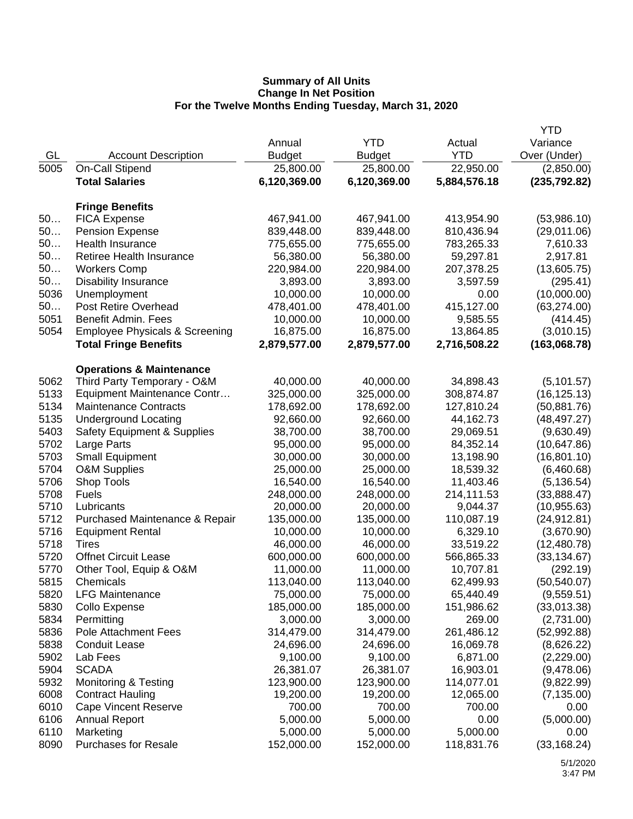|      |                                           |               |               |              | <b>YTD</b>    |
|------|-------------------------------------------|---------------|---------------|--------------|---------------|
|      |                                           | Annual        | <b>YTD</b>    | Actual       | Variance      |
| GL   | <b>Account Description</b>                | <b>Budget</b> | <b>Budget</b> | <b>YTD</b>   | Over (Under)  |
| 5005 | On-Call Stipend                           | 25,800.00     | 25,800.00     | 22,950.00    | (2,850.00)    |
|      | <b>Total Salaries</b>                     | 6,120,369.00  | 6,120,369.00  | 5,884,576.18 | (235, 792.82) |
|      |                                           |               |               |              |               |
|      | <b>Fringe Benefits</b>                    |               |               |              |               |
| 50   | <b>FICA Expense</b>                       | 467,941.00    | 467,941.00    | 413,954.90   | (53,986.10)   |
| 50   | <b>Pension Expense</b>                    | 839,448.00    | 839,448.00    | 810,436.94   | (29,011.06)   |
| 50   | Health Insurance                          | 775,655.00    | 775,655.00    | 783,265.33   | 7,610.33      |
| 50   | Retiree Health Insurance                  | 56,380.00     | 56,380.00     | 59,297.81    | 2,917.81      |
| 50   | <b>Workers Comp</b>                       | 220,984.00    | 220,984.00    | 207,378.25   | (13,605.75)   |
| 50   | <b>Disability Insurance</b>               | 3,893.00      | 3,893.00      | 3,597.59     | (295.41)      |
| 5036 | Unemployment                              | 10,000.00     | 10,000.00     | 0.00         | (10,000.00)   |
| 50   | Post Retire Overhead                      | 478,401.00    | 478,401.00    | 415,127.00   | (63, 274.00)  |
| 5051 | Benefit Admin. Fees                       | 10,000.00     | 10,000.00     | 9,585.55     | (414.45)      |
| 5054 | <b>Employee Physicals &amp; Screening</b> | 16,875.00     | 16,875.00     | 13,864.85    | (3,010.15)    |
|      | <b>Total Fringe Benefits</b>              | 2,879,577.00  | 2,879,577.00  | 2,716,508.22 | (163,068.78)  |
|      |                                           |               |               |              |               |
|      | <b>Operations &amp; Maintenance</b>       |               |               |              |               |
| 5062 | Third Party Temporary - O&M               | 40,000.00     | 40,000.00     | 34,898.43    | (5, 101.57)   |
| 5133 | Equipment Maintenance Contr               | 325,000.00    | 325,000.00    | 308,874.87   | (16, 125.13)  |
| 5134 | <b>Maintenance Contracts</b>              | 178,692.00    | 178,692.00    | 127,810.24   | (50, 881.76)  |
| 5135 | <b>Underground Locating</b>               | 92,660.00     | 92,660.00     | 44,162.73    | (48, 497.27)  |
| 5403 | Safety Equipment & Supplies               | 38,700.00     | 38,700.00     | 29,069.51    | (9,630.49)    |
| 5702 | Large Parts                               | 95,000.00     | 95,000.00     | 84,352.14    | (10, 647.86)  |
| 5703 | <b>Small Equipment</b>                    | 30,000.00     | 30,000.00     | 13,198.90    | (16, 801.10)  |
| 5704 | <b>O&amp;M Supplies</b>                   | 25,000.00     | 25,000.00     | 18,539.32    | (6,460.68)    |
| 5706 | Shop Tools                                | 16,540.00     | 16,540.00     | 11,403.46    | (5, 136.54)   |
| 5708 | <b>Fuels</b>                              | 248,000.00    | 248,000.00    | 214,111.53   | (33,888.47)   |
| 5710 | Lubricants                                | 20,000.00     | 20,000.00     | 9,044.37     | (10, 955.63)  |
| 5712 | Purchased Maintenance & Repair            | 135,000.00    | 135,000.00    | 110,087.19   | (24, 912.81)  |
| 5716 | <b>Equipment Rental</b>                   | 10,000.00     | 10,000.00     | 6,329.10     | (3,670.90)    |
| 5718 | Tires                                     | 46,000.00     | 46,000.00     | 33,519.22    | (12, 480.78)  |
| 5720 | <b>Offnet Circuit Lease</b>               | 600,000.00    | 600,000.00    | 566,865.33   | (33, 134.67)  |
| 5770 | Other Tool, Equip & O&M                   | 11,000.00     | 11,000.00     | 10,707.81    | (292.19)      |
| 5815 | Chemicals                                 | 113,040.00    | 113,040.00    | 62,499.93    | (50, 540.07)  |
| 5820 | <b>LFG Maintenance</b>                    | 75,000.00     | 75,000.00     | 65,440.49    | (9,559.51)    |
| 5830 | Collo Expense                             | 185,000.00    | 185,000.00    | 151,986.62   | (33,013.38)   |
| 5834 | Permitting                                | 3,000.00      | 3,000.00      | 269.00       | (2,731.00)    |
| 5836 | Pole Attachment Fees                      | 314,479.00    | 314,479.00    | 261,486.12   | (52,992.88)   |
| 5838 | <b>Conduit Lease</b>                      | 24,696.00     | 24,696.00     | 16,069.78    | (8,626.22)    |
| 5902 | Lab Fees                                  | 9,100.00      | 9,100.00      | 6,871.00     | (2,229.00)    |
| 5904 | <b>SCADA</b>                              | 26,381.07     | 26,381.07     | 16,903.01    | (9,478.06)    |
| 5932 | Monitoring & Testing                      | 123,900.00    | 123,900.00    | 114,077.01   | (9,822.99)    |
| 6008 | <b>Contract Hauling</b>                   | 19,200.00     | 19,200.00     | 12,065.00    | (7, 135.00)   |
| 6010 | <b>Cape Vincent Reserve</b>               | 700.00        | 700.00        | 700.00       | 0.00          |
| 6106 | <b>Annual Report</b>                      | 5,000.00      | 5,000.00      | 0.00         | (5,000.00)    |
| 6110 | Marketing                                 | 5,000.00      | 5,000.00      | 5,000.00     | 0.00          |
| 8090 | <b>Purchases for Resale</b>               | 152,000.00    | 152,000.00    | 118,831.76   | (33, 168.24)  |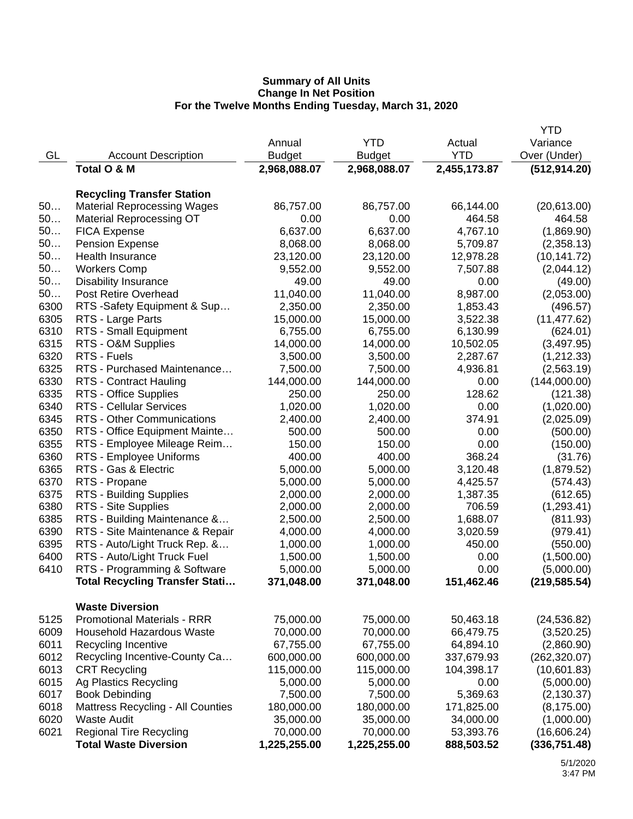|      |                                       |               |               |              | <b>YTD</b>    |
|------|---------------------------------------|---------------|---------------|--------------|---------------|
|      |                                       | Annual        | <b>YTD</b>    | Actual       | Variance      |
| GL   | <b>Account Description</b>            | <b>Budget</b> | <b>Budget</b> | <b>YTD</b>   | Over (Under)  |
|      | Total O & M                           | 2,968,088.07  | 2,968,088.07  | 2,455,173.87 | (512, 914.20) |
|      | <b>Recycling Transfer Station</b>     |               |               |              |               |
| 50   |                                       |               |               |              |               |
|      | <b>Material Reprocessing Wages</b>    | 86,757.00     | 86,757.00     | 66,144.00    | (20,613.00)   |
| 50   | <b>Material Reprocessing OT</b>       | 0.00          | 0.00          | 464.58       | 464.58        |
| 50   | <b>FICA Expense</b>                   | 6,637.00      | 6,637.00      | 4,767.10     | (1,869.90)    |
| 50   | <b>Pension Expense</b>                | 8,068.00      | 8,068.00      | 5,709.87     | (2,358.13)    |
| 50   | <b>Health Insurance</b>               | 23,120.00     | 23,120.00     | 12,978.28    | (10, 141.72)  |
| 50   | <b>Workers Comp</b>                   | 9,552.00      | 9,552.00      | 7,507.88     | (2,044.12)    |
| 50   | <b>Disability Insurance</b>           | 49.00         | 49.00         | 0.00         | (49.00)       |
| 50   | Post Retire Overhead                  | 11,040.00     | 11,040.00     | 8,987.00     | (2,053.00)    |
| 6300 | RTS -Safety Equipment & Sup           | 2,350.00      | 2,350.00      | 1,853.43     | (496.57)      |
| 6305 | RTS - Large Parts                     | 15,000.00     | 15,000.00     | 3,522.38     | (11, 477.62)  |
| 6310 | RTS - Small Equipment                 | 6,755.00      | 6,755.00      | 6,130.99     | (624.01)      |
| 6315 | RTS - O&M Supplies                    | 14,000.00     | 14,000.00     | 10,502.05    | (3,497.95)    |
| 6320 | RTS - Fuels                           | 3,500.00      | 3,500.00      | 2,287.67     | (1,212.33)    |
| 6325 | RTS - Purchased Maintenance           | 7,500.00      | 7,500.00      | 4,936.81     | (2,563.19)    |
| 6330 | RTS - Contract Hauling                | 144,000.00    | 144,000.00    | 0.00         | (144,000.00)  |
| 6335 | RTS - Office Supplies                 | 250.00        | 250.00        | 128.62       | (121.38)      |
| 6340 | <b>RTS - Cellular Services</b>        | 1,020.00      | 1,020.00      | 0.00         | (1,020.00)    |
| 6345 | <b>RTS - Other Communications</b>     | 2,400.00      | 2,400.00      | 374.91       | (2,025.09)    |
| 6350 | RTS - Office Equipment Mainte         | 500.00        | 500.00        | 0.00         | (500.00)      |
| 6355 | RTS - Employee Mileage Reim           | 150.00        | 150.00        | 0.00         | (150.00)      |
| 6360 | RTS - Employee Uniforms               | 400.00        | 400.00        | 368.24       | (31.76)       |
| 6365 | RTS - Gas & Electric                  | 5,000.00      | 5,000.00      | 3,120.48     | (1,879.52)    |
| 6370 | RTS - Propane                         | 5,000.00      | 5,000.00      | 4,425.57     | (574.43)      |
| 6375 | RTS - Building Supplies               | 2,000.00      | 2,000.00      | 1,387.35     | (612.65)      |
| 6380 | RTS - Site Supplies                   | 2,000.00      | 2,000.00      | 706.59       | (1,293.41)    |
| 6385 | RTS - Building Maintenance &          | 2,500.00      | 2,500.00      | 1,688.07     | (811.93)      |
| 6390 | RTS - Site Maintenance & Repair       | 4,000.00      | 4,000.00      | 3,020.59     | (979.41)      |
| 6395 | RTS - Auto/Light Truck Rep. &         | 1,000.00      |               | 450.00       |               |
|      |                                       |               | 1,000.00      |              | (550.00)      |
| 6400 | RTS - Auto/Light Truck Fuel           | 1,500.00      | 1,500.00      | 0.00         | (1,500.00)    |
| 6410 | RTS - Programming & Software          | 5,000.00      | 5,000.00      | 0.00         | (5,000.00)    |
|      | <b>Total Recycling Transfer Stati</b> | 371,048.00    | 371,048.00    | 151,462.46   | (219, 585.54) |
|      | <b>Waste Diversion</b>                |               |               |              |               |
| 5125 | <b>Promotional Materials - RRR</b>    | 75,000.00     | 75,000.00     | 50,463.18    | (24, 536.82)  |
| 6009 | <b>Household Hazardous Waste</b>      | 70,000.00     | 70,000.00     | 66,479.75    | (3,520.25)    |
| 6011 | Recycling Incentive                   | 67,755.00     | 67,755.00     | 64,894.10    | (2,860.90)    |
| 6012 | Recycling Incentive-County Ca         | 600,000.00    | 600,000.00    | 337,679.93   | (262, 320.07) |
| 6013 | <b>CRT Recycling</b>                  | 115,000.00    | 115,000.00    | 104,398.17   | (10,601.83)   |
| 6015 | <b>Ag Plastics Recycling</b>          | 5,000.00      | 5,000.00      | 0.00         | (5,000.00)    |
| 6017 | <b>Book Debinding</b>                 | 7,500.00      | 7,500.00      | 5,369.63     | (2, 130.37)   |
| 6018 | Mattress Recycling - All Counties     | 180,000.00    | 180,000.00    | 171,825.00   | (8, 175.00)   |
| 6020 | <b>Waste Audit</b>                    | 35,000.00     | 35,000.00     | 34,000.00    | (1,000.00)    |
| 6021 | <b>Regional Tire Recycling</b>        | 70,000.00     | 70,000.00     | 53,393.76    | (16,606.24)   |
|      | <b>Total Waste Diversion</b>          | 1,225,255.00  | 1,225,255.00  | 888,503.52   | (336, 751.48) |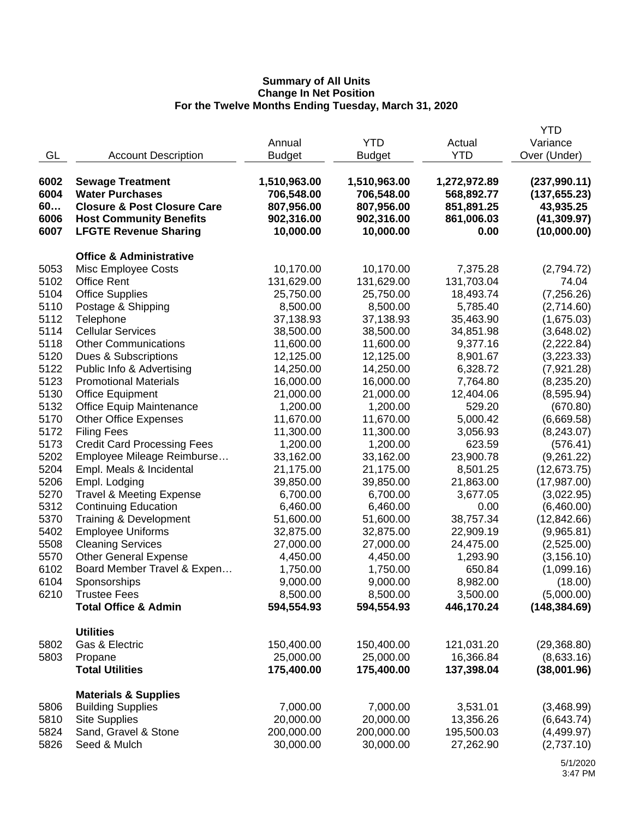|                            |                                                                                                                               |                                                        |                                                        |                                                        | <b>YTD</b>                                                 |
|----------------------------|-------------------------------------------------------------------------------------------------------------------------------|--------------------------------------------------------|--------------------------------------------------------|--------------------------------------------------------|------------------------------------------------------------|
|                            |                                                                                                                               | Annual                                                 | <b>YTD</b>                                             | Actual                                                 | Variance                                                   |
| GL                         | <b>Account Description</b>                                                                                                    | <b>Budget</b>                                          | <b>Budget</b>                                          | <b>YTD</b>                                             | Over (Under)                                               |
| 6002<br>6004<br>60<br>6006 | <b>Sewage Treatment</b><br><b>Water Purchases</b><br><b>Closure &amp; Post Closure Care</b><br><b>Host Community Benefits</b> | 1,510,963.00<br>706,548.00<br>807,956.00<br>902,316.00 | 1,510,963.00<br>706,548.00<br>807,956.00<br>902,316.00 | 1,272,972.89<br>568,892.77<br>851,891.25<br>861,006.03 | (237,990.11)<br>(137, 655.23)<br>43,935.25<br>(41, 309.97) |
| 6007                       | <b>LFGTE Revenue Sharing</b>                                                                                                  | 10,000.00                                              | 10,000.00                                              | 0.00                                                   | (10,000.00)                                                |
|                            | <b>Office &amp; Administrative</b>                                                                                            |                                                        |                                                        |                                                        |                                                            |
| 5053                       | Misc Employee Costs                                                                                                           | 10,170.00                                              | 10,170.00                                              | 7,375.28                                               | (2,794.72)                                                 |
| 5102                       | <b>Office Rent</b>                                                                                                            | 131,629.00                                             | 131,629.00                                             | 131,703.04                                             | 74.04                                                      |
| 5104                       | <b>Office Supplies</b>                                                                                                        | 25,750.00                                              | 25,750.00                                              | 18,493.74                                              | (7, 256.26)                                                |
| 5110                       | Postage & Shipping                                                                                                            | 8,500.00                                               | 8,500.00                                               | 5,785.40                                               | (2,714.60)                                                 |
| 5112                       | Telephone                                                                                                                     | 37,138.93                                              | 37,138.93                                              | 35,463.90                                              |                                                            |
| 5114                       | <b>Cellular Services</b>                                                                                                      | 38,500.00                                              | 38,500.00                                              | 34,851.98                                              | (1,675.03)<br>(3,648.02)                                   |
| 5118                       | <b>Other Communications</b>                                                                                                   | 11,600.00                                              | 11,600.00                                              | 9,377.16                                               | (2, 222.84)                                                |
| 5120                       | Dues & Subscriptions                                                                                                          | 12,125.00                                              | 12,125.00                                              | 8,901.67                                               | (3,223.33)                                                 |
| 5122                       | Public Info & Advertising                                                                                                     | 14,250.00                                              | 14,250.00                                              | 6,328.72                                               |                                                            |
| 5123                       | <b>Promotional Materials</b>                                                                                                  | 16,000.00                                              | 16,000.00                                              | 7,764.80                                               | (7,921.28)                                                 |
| 5130                       | <b>Office Equipment</b>                                                                                                       | 21,000.00                                              | 21,000.00                                              | 12,404.06                                              | (8,235.20)                                                 |
| 5132                       | Office Equip Maintenance                                                                                                      | 1,200.00                                               | 1,200.00                                               | 529.20                                                 | (8,595.94)<br>(670.80)                                     |
| 5170                       | <b>Other Office Expenses</b>                                                                                                  | 11,670.00                                              | 11,670.00                                              | 5,000.42                                               | (6,669.58)                                                 |
| 5172                       | <b>Filing Fees</b>                                                                                                            | 11,300.00                                              | 11,300.00                                              |                                                        |                                                            |
| 5173                       | <b>Credit Card Processing Fees</b>                                                                                            | 1,200.00                                               | 1,200.00                                               | 3,056.93<br>623.59                                     | (8,243.07)                                                 |
| 5202                       |                                                                                                                               |                                                        |                                                        |                                                        | (576.41)                                                   |
| 5204                       | Employee Mileage Reimburse                                                                                                    | 33,162.00                                              | 33,162.00                                              | 23,900.78                                              | (9,261.22)                                                 |
|                            | Empl. Meals & Incidental                                                                                                      | 21,175.00                                              | 21,175.00                                              | 8,501.25                                               | (12, 673.75)                                               |
| 5206                       | Empl. Lodging                                                                                                                 | 39,850.00                                              | 39,850.00                                              | 21,863.00                                              | (17,987.00)                                                |
| 5270                       | <b>Travel &amp; Meeting Expense</b>                                                                                           | 6,700.00                                               | 6,700.00                                               | 3,677.05                                               | (3,022.95)                                                 |
| 5312                       | <b>Continuing Education</b>                                                                                                   | 6,460.00                                               | 6,460.00                                               | 0.00                                                   | (6,460.00)                                                 |
| 5370                       | Training & Development                                                                                                        | 51,600.00                                              | 51,600.00                                              | 38,757.34                                              | (12, 842.66)                                               |
| 5402                       | <b>Employee Uniforms</b>                                                                                                      | 32,875.00                                              | 32,875.00                                              | 22,909.19                                              | (9,965.81)                                                 |
| 5508                       | <b>Cleaning Services</b>                                                                                                      | 27,000.00                                              | 27,000.00                                              | 24,475.00                                              | (2,525.00)                                                 |
| 5570                       | <b>Other General Expense</b>                                                                                                  | 4,450.00                                               | 4,450.00                                               | 1,293.90                                               | (3, 156.10)                                                |
| 6102                       | Board Member Travel & Expen                                                                                                   | 1,750.00                                               | 1,750.00                                               | 650.84                                                 | (1,099.16)                                                 |
| 6104                       | Sponsorships                                                                                                                  | 9,000.00                                               | 9,000.00                                               | 8,982.00                                               | (18.00)                                                    |
| 6210                       | <b>Trustee Fees</b>                                                                                                           | 8,500.00                                               | 8,500.00                                               | 3,500.00                                               | (5,000.00)                                                 |
|                            | <b>Total Office &amp; Admin</b>                                                                                               | 594,554.93                                             | 594,554.93                                             | 446,170.24                                             | (148, 384.69)                                              |
|                            | <b>Utilities</b>                                                                                                              |                                                        |                                                        |                                                        |                                                            |
| 5802                       | Gas & Electric                                                                                                                | 150,400.00                                             | 150,400.00                                             | 121,031.20                                             | (29,368.80)                                                |
| 5803                       | Propane                                                                                                                       | 25,000.00                                              | 25,000.00                                              | 16,366.84                                              | (8,633.16)                                                 |
|                            | <b>Total Utilities</b>                                                                                                        | 175,400.00                                             | 175,400.00                                             | 137,398.04                                             | (38,001.96)                                                |
|                            | <b>Materials &amp; Supplies</b>                                                                                               |                                                        |                                                        |                                                        |                                                            |
| 5806                       | <b>Building Supplies</b>                                                                                                      | 7,000.00                                               | 7,000.00                                               | 3,531.01                                               | (3,468.99)                                                 |
| 5810                       | <b>Site Supplies</b>                                                                                                          | 20,000.00                                              | 20,000.00                                              | 13,356.26                                              | (6,643.74)                                                 |
| 5824                       | Sand, Gravel & Stone                                                                                                          | 200,000.00                                             | 200,000.00                                             | 195,500.03                                             | (4,499.97)                                                 |
| 5826                       | Seed & Mulch                                                                                                                  | 30,000.00                                              | 30,000.00                                              | 27,262.90                                              | (2,737.10)                                                 |
|                            |                                                                                                                               |                                                        |                                                        |                                                        |                                                            |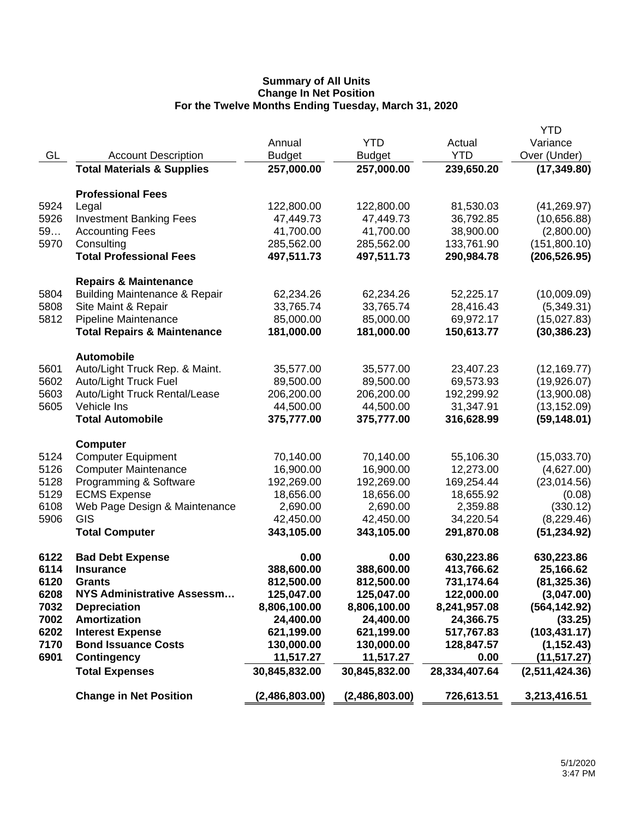|      |                                          |                |                |               | <b>YTD</b>     |
|------|------------------------------------------|----------------|----------------|---------------|----------------|
|      |                                          | Annual         | <b>YTD</b>     | Actual        | Variance       |
| GL   | <b>Account Description</b>               | <b>Budget</b>  | <b>Budget</b>  | <b>YTD</b>    | Over (Under)   |
|      | <b>Total Materials &amp; Supplies</b>    | 257,000.00     | 257,000.00     | 239,650.20    | (17, 349.80)   |
|      |                                          |                |                |               |                |
|      | <b>Professional Fees</b>                 |                |                |               |                |
| 5924 | Legal                                    | 122,800.00     | 122,800.00     | 81,530.03     | (41, 269.97)   |
| 5926 | <b>Investment Banking Fees</b>           | 47,449.73      | 47,449.73      | 36,792.85     | (10,656.88)    |
| 59   | <b>Accounting Fees</b>                   | 41,700.00      | 41,700.00      | 38,900.00     | (2,800.00)     |
| 5970 | Consulting                               | 285,562.00     | 285,562.00     | 133,761.90    | (151,800.10)   |
|      | <b>Total Professional Fees</b>           | 497,511.73     | 497,511.73     | 290,984.78    | (206, 526.95)  |
|      |                                          |                |                |               |                |
|      | <b>Repairs &amp; Maintenance</b>         |                |                |               |                |
| 5804 | <b>Building Maintenance &amp; Repair</b> | 62,234.26      | 62,234.26      | 52,225.17     | (10,009.09)    |
| 5808 | Site Maint & Repair                      | 33,765.74      | 33,765.74      | 28,416.43     | (5,349.31)     |
| 5812 | Pipeline Maintenance                     | 85,000.00      | 85,000.00      | 69,972.17     | (15,027.83)    |
|      | <b>Total Repairs &amp; Maintenance</b>   | 181,000.00     | 181,000.00     | 150,613.77    | (30, 386.23)   |
|      | <b>Automobile</b>                        |                |                |               |                |
| 5601 | Auto/Light Truck Rep. & Maint.           | 35,577.00      | 35,577.00      | 23,407.23     | (12, 169.77)   |
| 5602 | Auto/Light Truck Fuel                    | 89,500.00      | 89,500.00      | 69,573.93     | (19,926.07)    |
| 5603 | Auto/Light Truck Rental/Lease            | 206,200.00     | 206,200.00     | 192,299.92    | (13,900.08)    |
| 5605 | Vehicle Ins                              | 44,500.00      | 44,500.00      | 31,347.91     | (13, 152.09)   |
|      | <b>Total Automobile</b>                  | 375,777.00     | 375,777.00     | 316,628.99    | (59, 148.01)   |
|      |                                          |                |                |               |                |
|      | <b>Computer</b>                          |                |                |               |                |
| 5124 | <b>Computer Equipment</b>                | 70,140.00      | 70,140.00      | 55,106.30     | (15,033.70)    |
| 5126 | <b>Computer Maintenance</b>              | 16,900.00      | 16,900.00      | 12,273.00     | (4,627.00)     |
| 5128 | Programming & Software                   | 192,269.00     | 192,269.00     | 169,254.44    | (23,014.56)    |
| 5129 | <b>ECMS Expense</b>                      | 18,656.00      | 18,656.00      | 18,655.92     | (0.08)         |
| 6108 | Web Page Design & Maintenance            | 2,690.00       | 2,690.00       | 2,359.88      | (330.12)       |
| 5906 | GIS                                      | 42,450.00      | 42,450.00      | 34,220.54     | (8,229.46)     |
|      | <b>Total Computer</b>                    | 343,105.00     | 343,105.00     | 291,870.08    | (51, 234.92)   |
| 6122 | <b>Bad Debt Expense</b>                  | 0.00           | 0.00           | 630,223.86    | 630,223.86     |
| 6114 | <b>Insurance</b>                         | 388,600.00     | 388,600.00     | 413,766.62    | 25,166.62      |
| 6120 | Grants                                   | 812,500.00     | 812,500.00     | 731,174.64    | (81, 325.36)   |
| 6208 | NYS Administrative Assessm               | 125,047.00     | 125,047.00     | 122,000.00    | (3,047.00)     |
| 7032 | <b>Depreciation</b>                      | 8,806,100.00   | 8,806,100.00   | 8,241,957.08  | (564, 142.92)  |
| 7002 | <b>Amortization</b>                      | 24,400.00      | 24,400.00      | 24,366.75     | (33.25)        |
| 6202 | <b>Interest Expense</b>                  | 621,199.00     | 621,199.00     | 517,767.83    | (103, 431.17)  |
| 7170 | <b>Bond Issuance Costs</b>               | 130,000.00     | 130,000.00     | 128,847.57    | (1, 152.43)    |
| 6901 | <b>Contingency</b>                       | 11,517.27      | 11,517.27      | 0.00          | (11, 517.27)   |
|      | <b>Total Expenses</b>                    | 30,845,832.00  | 30,845,832.00  | 28,334,407.64 | (2,511,424.36) |
|      |                                          |                |                |               |                |
|      | <b>Change in Net Position</b>            | (2,486,803.00) | (2,486,803.00) | 726,613.51    | 3,213,416.51   |
|      |                                          |                |                |               |                |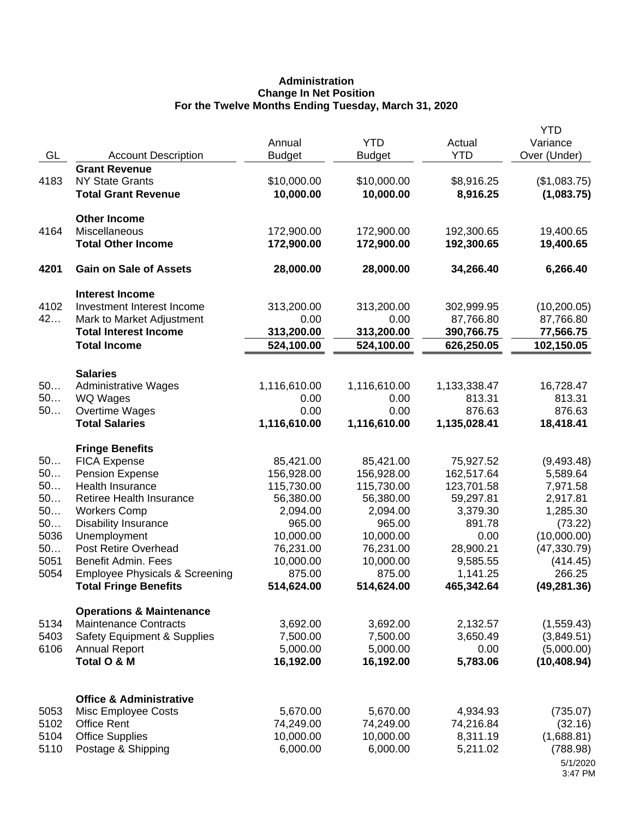## **Administration Change In Net Position For the Twelve Months Ending Tuesday, March 31, 2020**

| GL         | <b>Account Description</b>                                          | Annual<br><b>Budget</b> | <b>YTD</b><br><b>Budget</b> | Actual<br><b>YTD</b>     | <b>YTD</b><br>Variance<br>Over (Under) |
|------------|---------------------------------------------------------------------|-------------------------|-----------------------------|--------------------------|----------------------------------------|
| 4183       | <b>Grant Revenue</b><br><b>NY State Grants</b>                      | \$10,000.00             | \$10,000.00                 | \$8,916.25               | (\$1,083.75)                           |
|            | <b>Total Grant Revenue</b><br><b>Other Income</b>                   | 10,000.00               | 10,000.00                   | 8,916.25                 | (1,083.75)                             |
| 4164       | Miscellaneous                                                       | 172,900.00              | 172,900.00                  | 192,300.65               | 19,400.65                              |
|            | <b>Total Other Income</b>                                           | 172,900.00              | 172,900.00                  | 192,300.65               | 19,400.65                              |
| 4201       | <b>Gain on Sale of Assets</b>                                       | 28,000.00               | 28,000.00                   | 34,266.40                | 6,266.40                               |
|            | <b>Interest Income</b>                                              |                         |                             |                          |                                        |
| 4102<br>42 | Investment Interest Income                                          | 313,200.00              | 313,200.00                  | 302,999.95               | (10, 200.05)                           |
|            | Mark to Market Adjustment<br><b>Total Interest Income</b>           | 0.00<br>313,200.00      | 0.00<br>313,200.00          | 87,766.80<br>390,766.75  | 87,766.80<br>77,566.75                 |
|            | <b>Total Income</b>                                                 | 524,100.00              | 524,100.00                  | 626,250.05               | 102,150.05                             |
|            | <b>Salaries</b>                                                     |                         |                             |                          |                                        |
| 50         | <b>Administrative Wages</b>                                         | 1,116,610.00            | 1,116,610.00                | 1,133,338.47             | 16,728.47                              |
| 50         | WQ Wages                                                            | 0.00                    | 0.00                        | 813.31                   | 813.31                                 |
| 50         | Overtime Wages                                                      | 0.00                    | 0.00                        | 876.63                   | 876.63                                 |
|            | <b>Total Salaries</b>                                               | 1,116,610.00            | 1,116,610.00                | 1,135,028.41             | 18,418.41                              |
|            | <b>Fringe Benefits</b>                                              |                         |                             |                          |                                        |
| 50<br>50   | <b>FICA Expense</b>                                                 | 85,421.00<br>156,928.00 | 85,421.00                   | 75,927.52                | (9,493.48)                             |
| 50         | <b>Pension Expense</b><br>Health Insurance                          | 115,730.00              | 156,928.00<br>115,730.00    | 162,517.64<br>123,701.58 | 5,589.64<br>7,971.58                   |
| 50         | Retiree Health Insurance                                            | 56,380.00               | 56,380.00                   | 59,297.81                | 2,917.81                               |
| 50         | <b>Workers Comp</b>                                                 | 2,094.00                | 2,094.00                    | 3,379.30                 | 1,285.30                               |
| 50         | <b>Disability Insurance</b>                                         | 965.00                  | 965.00                      | 891.78                   | (73.22)                                |
| 5036       | Unemployment                                                        | 10,000.00               | 10,000.00                   | 0.00                     | (10,000.00)                            |
| 50         | Post Retire Overhead                                                | 76,231.00               | 76,231.00                   | 28,900.21                | (47, 330.79)                           |
| 5051       | Benefit Admin. Fees                                                 | 10,000.00               | 10,000.00                   | 9,585.55                 | (414.45)                               |
| 5054       | <b>Employee Physicals &amp; Screening</b>                           | 875.00                  | 875.00                      | 1,141.25                 | 266.25                                 |
|            | <b>Total Fringe Benefits</b>                                        | 514,624.00              | 514,624.00                  | 465,342.64               | (49, 281.36)                           |
| 5134       | <b>Operations &amp; Maintenance</b><br><b>Maintenance Contracts</b> | 3,692.00                |                             |                          |                                        |
| 5403       | <b>Safety Equipment &amp; Supplies</b>                              | 7,500.00                | 3,692.00<br>7,500.00        | 2,132.57<br>3,650.49     | (1,559.43)<br>(3,849.51)               |
| 6106       | <b>Annual Report</b>                                                | 5,000.00                | 5,000.00                    | 0.00                     | (5,000.00)                             |
|            | Total O & M                                                         | 16,192.00               | 16,192.00                   | 5,783.06                 | (10, 408.94)                           |
|            |                                                                     |                         |                             |                          |                                        |
| 5053       | <b>Office &amp; Administrative</b><br>Misc Employee Costs           | 5,670.00                | 5,670.00                    | 4,934.93                 | (735.07)                               |
| 5102       | <b>Office Rent</b>                                                  | 74,249.00               | 74,249.00                   | 74,216.84                | (32.16)                                |
| 5104       | <b>Office Supplies</b>                                              | 10,000.00               | 10,000.00                   | 8,311.19                 | (1,688.81)                             |
| 5110       | Postage & Shipping                                                  | 6,000.00                | 6,000.00                    | 5,211.02                 | (788.98)                               |
|            |                                                                     |                         |                             |                          | 5/1/2020<br>3:47 PM                    |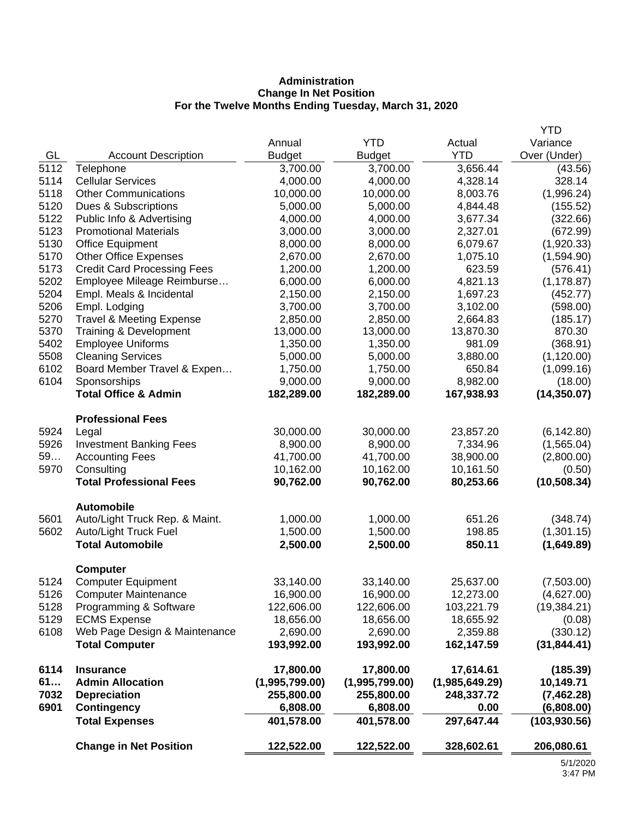# **Administration Change In Net Position For the Twelve Months Ending Tuesday, March 31, 2020**

|      |                                     |                |                |                | <b>YTD</b>    |
|------|-------------------------------------|----------------|----------------|----------------|---------------|
|      |                                     | Annual         | <b>YTD</b>     | Actual         | Variance      |
| GL   | <b>Account Description</b>          | <b>Budget</b>  | <b>Budget</b>  | <b>YTD</b>     | Over (Under)  |
| 5112 | Telephone                           | 3,700.00       | 3,700.00       | 3,656.44       | (43.56)       |
| 5114 | <b>Cellular Services</b>            | 4,000.00       | 4,000.00       | 4,328.14       | 328.14        |
| 5118 | <b>Other Communications</b>         | 10,000.00      | 10,000.00      | 8,003.76       | (1,996.24)    |
| 5120 | Dues & Subscriptions                | 5,000.00       | 5,000.00       | 4,844.48       | (155.52)      |
| 5122 | Public Info & Advertising           | 4,000.00       | 4,000.00       | 3,677.34       | (322.66)      |
| 5123 | <b>Promotional Materials</b>        | 3,000.00       | 3,000.00       | 2,327.01       | (672.99)      |
| 5130 | <b>Office Equipment</b>             | 8,000.00       | 8,000.00       | 6,079.67       | (1,920.33)    |
| 5170 | <b>Other Office Expenses</b>        | 2,670.00       | 2,670.00       | 1,075.10       | (1,594.90)    |
| 5173 | <b>Credit Card Processing Fees</b>  | 1,200.00       | 1,200.00       | 623.59         | (576.41)      |
| 5202 | Employee Mileage Reimburse          | 6,000.00       | 6,000.00       | 4,821.13       | (1, 178.87)   |
| 5204 | Empl. Meals & Incidental            | 2,150.00       | 2,150.00       | 1,697.23       | (452.77)      |
| 5206 | Empl. Lodging                       | 3,700.00       | 3,700.00       | 3,102.00       | (598.00)      |
| 5270 | <b>Travel &amp; Meeting Expense</b> | 2,850.00       | 2,850.00       | 2,664.83       | (185.17)      |
| 5370 | Training & Development              | 13,000.00      | 13,000.00      | 13,870.30      | 870.30        |
| 5402 | <b>Employee Uniforms</b>            | 1,350.00       | 1,350.00       | 981.09         | (368.91)      |
| 5508 | <b>Cleaning Services</b>            | 5,000.00       | 5,000.00       | 3,880.00       | (1, 120.00)   |
| 6102 | Board Member Travel & Expen         | 1,750.00       | 1,750.00       | 650.84         | (1,099.16)    |
| 6104 | Sponsorships                        | 9,000.00       | 9,000.00       | 8,982.00       | (18.00)       |
|      | <b>Total Office &amp; Admin</b>     | 182,289.00     | 182,289.00     | 167,938.93     | (14, 350.07)  |
|      | <b>Professional Fees</b>            |                |                |                |               |
| 5924 | Legal                               | 30,000.00      | 30,000.00      | 23,857.20      | (6, 142.80)   |
| 5926 | <b>Investment Banking Fees</b>      | 8,900.00       | 8,900.00       | 7,334.96       | (1,565.04)    |
| 59   | <b>Accounting Fees</b>              | 41,700.00      | 41,700.00      | 38,900.00      | (2,800.00)    |
| 5970 | Consulting                          | 10,162.00      | 10,162.00      | 10,161.50      | (0.50)        |
|      | <b>Total Professional Fees</b>      | 90,762.00      | 90,762.00      | 80,253.66      | (10, 508.34)  |
|      | <b>Automobile</b>                   |                |                |                |               |
| 5601 | Auto/Light Truck Rep. & Maint.      | 1,000.00       | 1,000.00       | 651.26         | (348.74)      |
| 5602 | Auto/Light Truck Fuel               | 1,500.00       | 1,500.00       | 198.85         | (1,301.15)    |
|      | <b>Total Automobile</b>             | 2,500.00       | 2,500.00       | 850.11         | (1,649.89)    |
|      | <b>Computer</b>                     |                |                |                |               |
| 5124 | <b>Computer Equipment</b>           | 33,140.00      | 33,140.00      | 25,637.00      | (7,503.00)    |
| 5126 | <b>Computer Maintenance</b>         | 16,900.00      | 16,900.00      | 12,273.00      | (4,627.00)    |
| 5128 | Programming & Software              | 122,606.00     | 122,606.00     | 103,221.79     | (19, 384.21)  |
| 5129 | <b>ECMS Expense</b>                 | 18,656.00      | 18,656.00      | 18,655.92      | (0.08)        |
| 6108 | Web Page Design & Maintenance       | 2,690.00       | 2,690.00       | 2,359.88       | (330.12)      |
|      | <b>Total Computer</b>               | 193,992.00     | 193,992.00     | 162,147.59     | (31, 844.41)  |
| 6114 | <b>Insurance</b>                    | 17,800.00      | 17,800.00      | 17,614.61      | (185.39)      |
| 61   | <b>Admin Allocation</b>             | (1,995,799.00) | (1,995,799.00) | (1,985,649.29) | 10,149.71     |
| 7032 | <b>Depreciation</b>                 | 255,800.00     | 255,800.00     | 248,337.72     | (7,462.28)    |
| 6901 | <b>Contingency</b>                  | 6,808.00       | 6,808.00       | 0.00           | (6,808.00)    |
|      | <b>Total Expenses</b>               | 401,578.00     | 401,578.00     | 297,647.44     | (103, 930.56) |
|      | <b>Change in Net Position</b>       | 122,522.00     | 122,522.00     | 328,602.61     | 206,080.61    |
|      |                                     |                |                |                | 5/1/202       |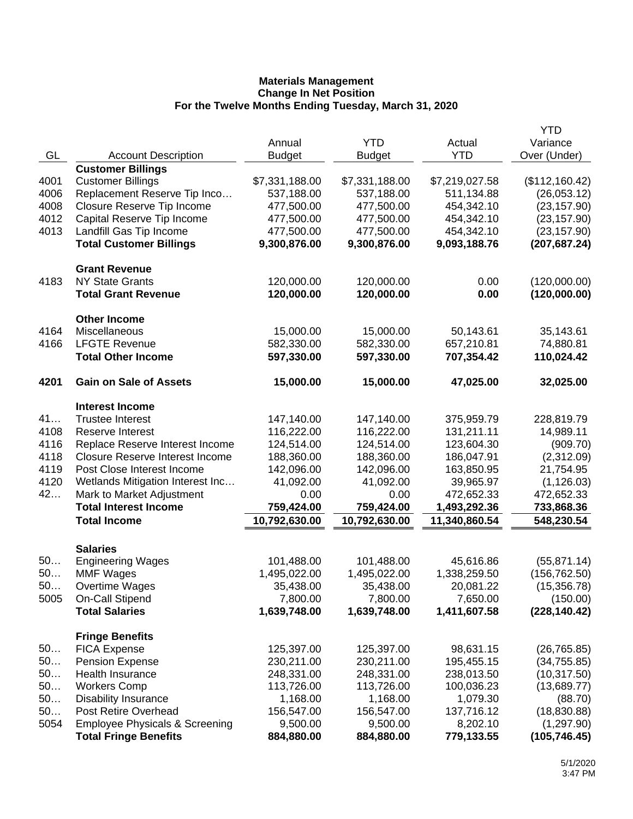|      |                                           |                |                |                | <b>YTD</b>     |
|------|-------------------------------------------|----------------|----------------|----------------|----------------|
|      |                                           | Annual         | <b>YTD</b>     | Actual         | Variance       |
| GL   | <b>Account Description</b>                | <b>Budget</b>  | <b>Budget</b>  | <b>YTD</b>     | Over (Under)   |
|      | <b>Customer Billings</b>                  |                |                |                |                |
| 4001 | <b>Customer Billings</b>                  | \$7,331,188.00 | \$7,331,188.00 | \$7,219,027.58 | (\$112,160.42) |
| 4006 | Replacement Reserve Tip Inco              | 537,188.00     | 537,188.00     | 511,134.88     | (26,053.12)    |
| 4008 | Closure Reserve Tip Income                | 477,500.00     | 477,500.00     | 454,342.10     | (23, 157.90)   |
| 4012 | Capital Reserve Tip Income                | 477,500.00     | 477,500.00     | 454,342.10     | (23, 157.90)   |
| 4013 | Landfill Gas Tip Income                   | 477,500.00     | 477,500.00     | 454,342.10     | (23, 157.90)   |
|      | <b>Total Customer Billings</b>            | 9,300,876.00   | 9,300,876.00   | 9,093,188.76   | (207, 687.24)  |
|      | <b>Grant Revenue</b>                      |                |                |                |                |
| 4183 | <b>NY State Grants</b>                    | 120,000.00     | 120,000.00     | 0.00           | (120,000.00)   |
|      | <b>Total Grant Revenue</b>                | 120,000.00     | 120,000.00     | 0.00           | (120,000.00)   |
|      |                                           |                |                |                |                |
| 4164 | <b>Other Income</b><br>Miscellaneous      | 15,000.00      | 15,000.00      | 50,143.61      | 35,143.61      |
| 4166 | <b>LFGTE Revenue</b>                      | 582,330.00     | 582,330.00     | 657,210.81     | 74,880.81      |
|      | <b>Total Other Income</b>                 | 597,330.00     | 597,330.00     | 707,354.42     | 110,024.42     |
|      |                                           |                |                |                |                |
| 4201 | <b>Gain on Sale of Assets</b>             | 15,000.00      | 15,000.00      | 47,025.00      | 32,025.00      |
|      | <b>Interest Income</b>                    |                |                |                |                |
| 41   | <b>Trustee Interest</b>                   | 147,140.00     | 147,140.00     | 375,959.79     | 228,819.79     |
| 4108 | Reserve Interest                          | 116,222.00     | 116,222.00     | 131,211.11     | 14,989.11      |
| 4116 | Replace Reserve Interest Income           | 124,514.00     | 124,514.00     | 123,604.30     | (909.70)       |
| 4118 | <b>Closure Reserve Interest Income</b>    | 188,360.00     | 188,360.00     | 186,047.91     | (2,312.09)     |
| 4119 | Post Close Interest Income                | 142,096.00     | 142,096.00     | 163,850.95     | 21,754.95      |
| 4120 | Wetlands Mitigation Interest Inc          | 41,092.00      | 41,092.00      | 39,965.97      | (1, 126.03)    |
| 42   | Mark to Market Adjustment                 | 0.00           | 0.00           | 472,652.33     | 472,652.33     |
|      | <b>Total Interest Income</b>              | 759,424.00     | 759,424.00     | 1,493,292.36   | 733,868.36     |
|      | <b>Total Income</b>                       | 10,792,630.00  | 10,792,630.00  | 11,340,860.54  | 548,230.54     |
|      | <b>Salaries</b>                           |                |                |                |                |
| 50   | <b>Engineering Wages</b>                  | 101,488.00     | 101,488.00     | 45,616.86      | (55, 871.14)   |
| 50   | <b>MMF Wages</b>                          | 1,495,022.00   | 1,495,022.00   | 1,338,259.50   | (156, 762.50)  |
| 50   | Overtime Wages                            | 35,438.00      | 35,438.00      | 20,081.22      | (15, 356.78)   |
| 5005 | On-Call Stipend                           | 7,800.00       | 7,800.00       | 7,650.00       | (150.00)       |
|      | <b>Total Salaries</b>                     | 1,639,748.00   | 1,639,748.00   | 1,411,607.58   | (228, 140.42)  |
|      | <b>Fringe Benefits</b>                    |                |                |                |                |
| 50   | <b>FICA Expense</b>                       | 125,397.00     | 125,397.00     | 98,631.15      | (26, 765.85)   |
| 50   | <b>Pension Expense</b>                    | 230,211.00     | 230,211.00     | 195,455.15     | (34, 755.85)   |
| 50   | Health Insurance                          | 248,331.00     | 248,331.00     | 238,013.50     | (10, 317.50)   |
| 50   | <b>Workers Comp</b>                       | 113,726.00     | 113,726.00     | 100,036.23     | (13,689.77)    |
| 50   | <b>Disability Insurance</b>               | 1,168.00       | 1,168.00       | 1,079.30       | (88.70)        |
| 50   | Post Retire Overhead                      | 156,547.00     | 156,547.00     | 137,716.12     | (18, 830.88)   |
| 5054 | <b>Employee Physicals &amp; Screening</b> | 9,500.00       | 9,500.00       | 8,202.10       | (1,297.90)     |
|      | <b>Total Fringe Benefits</b>              | 884,880.00     | 884,880.00     | 779,133.55     | (105, 746.45)  |
|      |                                           |                |                |                |                |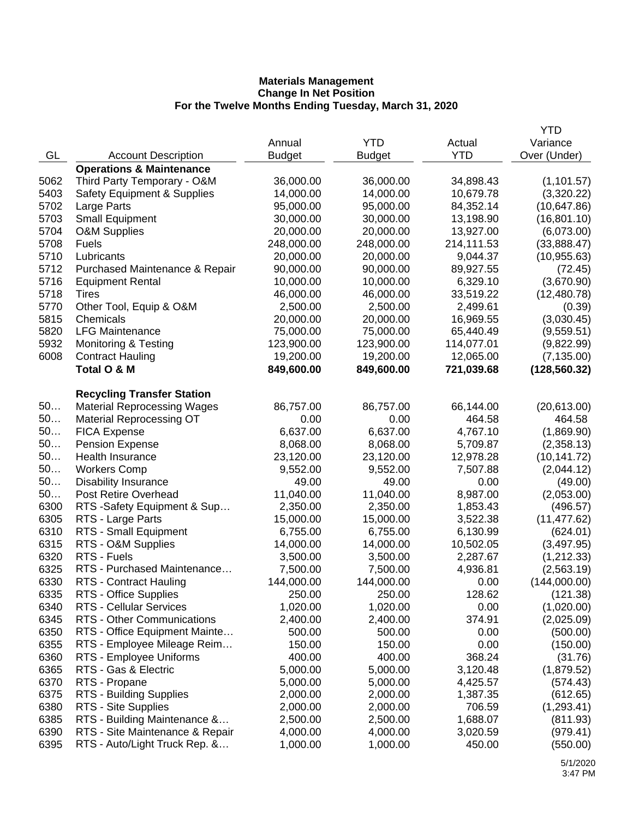|      |                                                   |               |               |            | <b>YTD</b>    |
|------|---------------------------------------------------|---------------|---------------|------------|---------------|
|      |                                                   | Annual        | <b>YTD</b>    | Actual     | Variance      |
| GL   | <b>Account Description</b>                        | <b>Budget</b> | <b>Budget</b> | <b>YTD</b> | Over (Under)  |
|      | <b>Operations &amp; Maintenance</b>               |               |               |            |               |
| 5062 | Third Party Temporary - O&M                       | 36,000.00     | 36,000.00     | 34,898.43  | (1, 101.57)   |
| 5403 | <b>Safety Equipment &amp; Supplies</b>            | 14,000.00     | 14,000.00     | 10,679.78  | (3,320.22)    |
| 5702 | Large Parts                                       | 95,000.00     | 95,000.00     | 84,352.14  | (10,647.86)   |
| 5703 | <b>Small Equipment</b>                            | 30,000.00     | 30,000.00     | 13,198.90  | (16, 801.10)  |
| 5704 | O&M Supplies                                      | 20,000.00     | 20,000.00     | 13,927.00  | (6,073.00)    |
| 5708 | <b>Fuels</b>                                      | 248,000.00    | 248,000.00    | 214,111.53 | (33,888.47)   |
| 5710 | Lubricants                                        | 20,000.00     | 20,000.00     | 9,044.37   | (10, 955.63)  |
| 5712 | Purchased Maintenance & Repair                    | 90,000.00     | 90,000.00     | 89,927.55  | (72.45)       |
| 5716 | <b>Equipment Rental</b>                           | 10,000.00     | 10,000.00     | 6,329.10   | (3,670.90)    |
| 5718 | Tires                                             | 46,000.00     | 46,000.00     | 33,519.22  | (12, 480.78)  |
| 5770 | Other Tool, Equip & O&M                           | 2,500.00      | 2,500.00      | 2,499.61   | (0.39)        |
| 5815 | Chemicals                                         | 20,000.00     | 20,000.00     | 16,969.55  | (3,030.45)    |
| 5820 | <b>LFG Maintenance</b>                            | 75,000.00     | 75,000.00     | 65,440.49  | (9,559.51)    |
| 5932 | <b>Monitoring &amp; Testing</b>                   | 123,900.00    | 123,900.00    | 114,077.01 | (9,822.99)    |
| 6008 | <b>Contract Hauling</b>                           | 19,200.00     | 19,200.00     | 12,065.00  | (7, 135.00)   |
|      | Total O & M                                       | 849,600.00    | 849,600.00    | 721,039.68 |               |
|      |                                                   |               |               |            | (128, 560.32) |
|      | <b>Recycling Transfer Station</b>                 |               |               |            |               |
| 50   | <b>Material Reprocessing Wages</b>                | 86,757.00     | 86,757.00     | 66,144.00  | (20,613.00)   |
| 50   | <b>Material Reprocessing OT</b>                   | 0.00          | 0.00          | 464.58     | 464.58        |
| 50   |                                                   | 6,637.00      | 6,637.00      | 4,767.10   | (1,869.90)    |
| 50   | <b>FICA Expense</b>                               | 8,068.00      |               |            |               |
| 50   | <b>Pension Expense</b><br><b>Health Insurance</b> |               | 8,068.00      | 5,709.87   | (2,358.13)    |
| 50   |                                                   | 23,120.00     | 23,120.00     | 12,978.28  | (10, 141.72)  |
|      | <b>Workers Comp</b>                               | 9,552.00      | 9,552.00      | 7,507.88   | (2,044.12)    |
| 50   | <b>Disability Insurance</b>                       | 49.00         | 49.00         | 0.00       | (49.00)       |
| 50   | Post Retire Overhead                              | 11,040.00     | 11,040.00     | 8,987.00   | (2,053.00)    |
| 6300 | RTS -Safety Equipment & Sup                       | 2,350.00      | 2,350.00      | 1,853.43   | (496.57)      |
| 6305 | RTS - Large Parts                                 | 15,000.00     | 15,000.00     | 3,522.38   | (11, 477.62)  |
| 6310 | RTS - Small Equipment                             | 6,755.00      | 6,755.00      | 6,130.99   | (624.01)      |
| 6315 | RTS - O&M Supplies                                | 14,000.00     | 14,000.00     | 10,502.05  | (3, 497.95)   |
| 6320 | RTS - Fuels                                       | 3,500.00      | 3,500.00      | 2,287.67   | (1,212.33)    |
| 6325 | RTS - Purchased Maintenance                       | 7,500.00      | 7,500.00      | 4,936.81   | (2,563.19)    |
| 6330 | RTS - Contract Hauling                            | 144,000.00    | 144,000.00    | 0.00       | (144,000.00)  |
| 6335 | RTS - Office Supplies                             | 250.00        | 250.00        | 128.62     | (121.38)      |
| 6340 | <b>RTS - Cellular Services</b>                    | 1,020.00      | 1,020.00      | 0.00       | (1,020.00)    |
| 6345 | <b>RTS - Other Communications</b>                 | 2,400.00      | 2,400.00      | 374.91     | (2,025.09)    |
| 6350 | RTS - Office Equipment Mainte                     | 500.00        | 500.00        | 0.00       | (500.00)      |
| 6355 | RTS - Employee Mileage Reim                       | 150.00        | 150.00        | 0.00       | (150.00)      |
| 6360 | RTS - Employee Uniforms                           | 400.00        | 400.00        | 368.24     | (31.76)       |
| 6365 | RTS - Gas & Electric                              | 5,000.00      | 5,000.00      | 3,120.48   | (1,879.52)    |
| 6370 | RTS - Propane                                     | 5,000.00      | 5,000.00      | 4,425.57   | (574.43)      |
| 6375 | <b>RTS - Building Supplies</b>                    | 2,000.00      | 2,000.00      | 1,387.35   | (612.65)      |
| 6380 | RTS - Site Supplies                               | 2,000.00      | 2,000.00      | 706.59     | (1, 293.41)   |
| 6385 | RTS - Building Maintenance &                      | 2,500.00      | 2,500.00      | 1,688.07   | (811.93)      |
| 6390 | RTS - Site Maintenance & Repair                   | 4,000.00      | 4,000.00      | 3,020.59   | (979.41)      |
| 6395 | RTS - Auto/Light Truck Rep. &                     | 1,000.00      | 1,000.00      | 450.00     | (550.00)      |
|      |                                                   |               |               |            |               |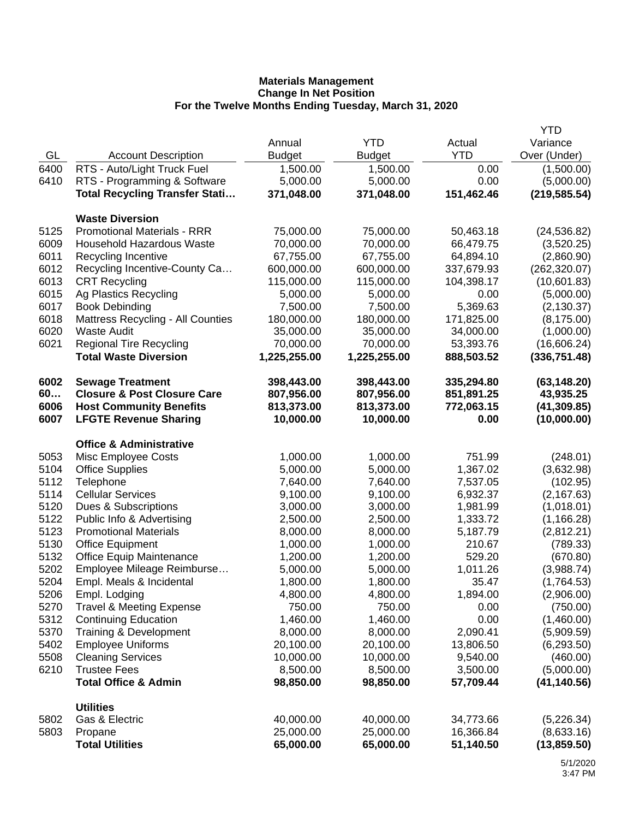|      |                                          |               |               |            | <b>YTD</b>    |
|------|------------------------------------------|---------------|---------------|------------|---------------|
|      |                                          | Annual        | <b>YTD</b>    | Actual     | Variance      |
| GL   | <b>Account Description</b>               | <b>Budget</b> | <b>Budget</b> | <b>YTD</b> | Over (Under)  |
| 6400 | RTS - Auto/Light Truck Fuel              | 1,500.00      | 1,500.00      | 0.00       | (1,500.00)    |
| 6410 | RTS - Programming & Software             | 5,000.00      | 5,000.00      | 0.00       | (5,000.00)    |
|      | <b>Total Recycling Transfer Stati</b>    | 371,048.00    | 371,048.00    | 151,462.46 | (219, 585.54) |
|      |                                          |               |               |            |               |
|      | <b>Waste Diversion</b>                   |               |               |            |               |
| 5125 | <b>Promotional Materials - RRR</b>       | 75,000.00     | 75,000.00     | 50,463.18  | (24, 536.82)  |
| 6009 | <b>Household Hazardous Waste</b>         | 70,000.00     | 70,000.00     | 66,479.75  | (3,520.25)    |
| 6011 | Recycling Incentive                      | 67,755.00     | 67,755.00     | 64,894.10  | (2,860.90)    |
| 6012 | Recycling Incentive-County Ca            | 600,000.00    | 600,000.00    | 337,679.93 | (262, 320.07) |
| 6013 | <b>CRT Recycling</b>                     | 115,000.00    | 115,000.00    | 104,398.17 | (10,601.83)   |
| 6015 | Ag Plastics Recycling                    | 5,000.00      | 5,000.00      | 0.00       | (5,000.00)    |
| 6017 | <b>Book Debinding</b>                    | 7,500.00      | 7,500.00      | 5,369.63   | (2, 130.37)   |
| 6018 | <b>Mattress Recycling - All Counties</b> | 180,000.00    | 180,000.00    | 171,825.00 | (8, 175.00)   |
| 6020 | <b>Waste Audit</b>                       | 35,000.00     | 35,000.00     | 34,000.00  | (1,000.00)    |
| 6021 | <b>Regional Tire Recycling</b>           | 70,000.00     | 70,000.00     | 53,393.76  | (16,606.24)   |
|      | <b>Total Waste Diversion</b>             | 1,225,255.00  | 1,225,255.00  | 888,503.52 | (336, 751.48) |
| 6002 | <b>Sewage Treatment</b>                  | 398,443.00    | 398,443.00    | 335,294.80 | (63, 148.20)  |
| 60   | <b>Closure &amp; Post Closure Care</b>   | 807,956.00    | 807,956.00    | 851,891.25 | 43,935.25     |
| 6006 | <b>Host Community Benefits</b>           | 813,373.00    | 813,373.00    | 772,063.15 | (41, 309.85)  |
| 6007 | <b>LFGTE Revenue Sharing</b>             | 10,000.00     | 10,000.00     | 0.00       | (10,000.00)   |
|      | <b>Office &amp; Administrative</b>       |               |               |            |               |
| 5053 | Misc Employee Costs                      | 1,000.00      | 1,000.00      | 751.99     | (248.01)      |
| 5104 | <b>Office Supplies</b>                   | 5,000.00      | 5,000.00      | 1,367.02   | (3,632.98)    |
| 5112 | Telephone                                | 7,640.00      | 7,640.00      | 7,537.05   | (102.95)      |
| 5114 | <b>Cellular Services</b>                 | 9,100.00      | 9,100.00      | 6,932.37   | (2, 167.63)   |
| 5120 | Dues & Subscriptions                     | 3,000.00      | 3,000.00      | 1,981.99   | (1,018.01)    |
| 5122 | Public Info & Advertising                | 2,500.00      | 2,500.00      | 1,333.72   | (1, 166.28)   |
| 5123 | <b>Promotional Materials</b>             | 8,000.00      | 8,000.00      | 5,187.79   | (2,812.21)    |
| 5130 | <b>Office Equipment</b>                  | 1,000.00      | 1,000.00      | 210.67     | (789.33)      |
| 5132 | <b>Office Equip Maintenance</b>          | 1,200.00      | 1,200.00      | 529.20     | (670.80)      |
| 5202 | Employee Mileage Reimburse               | 5,000.00      | 5,000.00      | 1,011.26   | (3,988.74)    |
| 5204 | Empl. Meals & Incidental                 | 1,800.00      | 1,800.00      | 35.47      | (1,764.53)    |
| 5206 | Empl. Lodging                            | 4,800.00      | 4,800.00      | 1,894.00   | (2,906.00)    |
| 5270 | <b>Travel &amp; Meeting Expense</b>      | 750.00        | 750.00        | 0.00       | (750.00)      |
| 5312 | <b>Continuing Education</b>              | 1,460.00      | 1,460.00      | 0.00       | (1,460.00)    |
| 5370 | Training & Development                   | 8,000.00      | 8,000.00      | 2,090.41   | (5,909.59)    |
| 5402 | <b>Employee Uniforms</b>                 | 20,100.00     | 20,100.00     | 13,806.50  | (6, 293.50)   |
| 5508 | <b>Cleaning Services</b>                 | 10,000.00     | 10,000.00     | 9,540.00   | (460.00)      |
| 6210 | <b>Trustee Fees</b>                      | 8,500.00      | 8,500.00      | 3,500.00   | (5,000.00)    |
|      | <b>Total Office &amp; Admin</b>          | 98,850.00     | 98,850.00     | 57,709.44  | (41, 140.56)  |
|      | <b>Utilities</b>                         |               |               |            |               |
| 5802 | Gas & Electric                           | 40,000.00     | 40,000.00     | 34,773.66  | (5,226.34)    |
| 5803 | Propane                                  | 25,000.00     | 25,000.00     | 16,366.84  | (8,633.16)    |
|      | <b>Total Utilities</b>                   | 65,000.00     | 65,000.00     | 51,140.50  | (13, 859.50)  |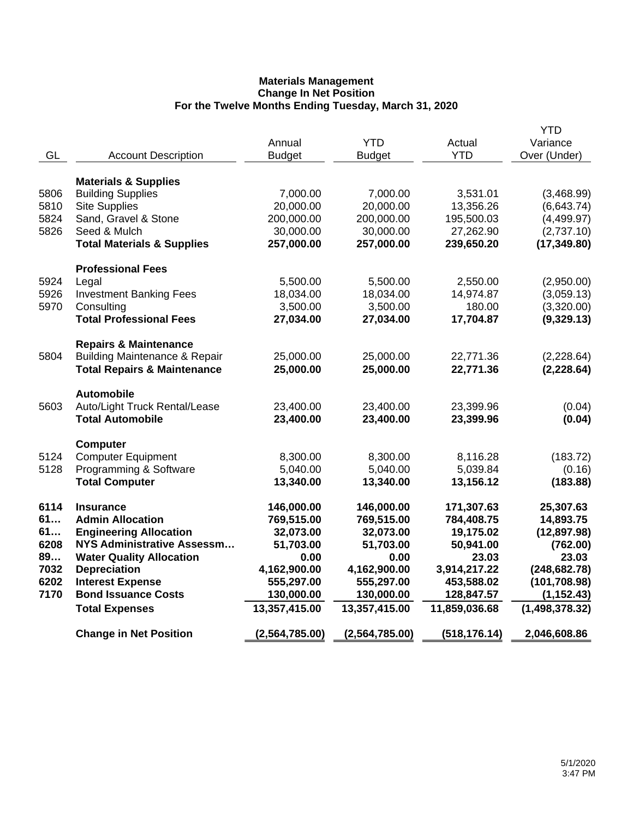| GL           | <b>Account Description</b>                            | Annual<br><b>Budget</b> | <b>YTD</b><br><b>Budget</b> | Actual<br><b>YTD</b> | <b>YTD</b><br>Variance<br>Over (Under) |
|--------------|-------------------------------------------------------|-------------------------|-----------------------------|----------------------|----------------------------------------|
|              | <b>Materials &amp; Supplies</b>                       |                         |                             |                      |                                        |
| 5806         | <b>Building Supplies</b>                              | 7,000.00                | 7,000.00                    | 3,531.01             | (3,468.99)                             |
| 5810         | <b>Site Supplies</b>                                  | 20,000.00               | 20,000.00                   | 13,356.26            | (6,643.74)                             |
| 5824         | Sand, Gravel & Stone                                  | 200,000.00              | 200,000.00                  | 195,500.03           | (4,499.97)                             |
| 5826         | Seed & Mulch                                          | 30,000.00               | 30,000.00                   | 27,262.90            | (2,737.10)                             |
|              | <b>Total Materials &amp; Supplies</b>                 | 257,000.00              | 257,000.00                  | 239,650.20           | (17, 349.80)                           |
|              | <b>Professional Fees</b>                              |                         |                             |                      |                                        |
| 5924         | Legal                                                 | 5,500.00                | 5,500.00                    | 2,550.00             | (2,950.00)                             |
| 5926         | <b>Investment Banking Fees</b>                        | 18,034.00               | 18,034.00                   | 14,974.87            | (3,059.13)                             |
| 5970         | Consulting                                            | 3,500.00                | 3,500.00                    | 180.00               | (3,320.00)                             |
|              | <b>Total Professional Fees</b>                        | 27,034.00               | 27,034.00                   | 17,704.87            | (9,329.13)                             |
|              | <b>Repairs &amp; Maintenance</b>                      |                         |                             |                      |                                        |
| 5804         | <b>Building Maintenance &amp; Repair</b>              | 25,000.00               | 25,000.00                   | 22,771.36            | (2,228.64)                             |
|              | <b>Total Repairs &amp; Maintenance</b>                | 25,000.00               | 25,000.00                   | 22,771.36            | (2, 228.64)                            |
|              | <b>Automobile</b>                                     |                         |                             |                      |                                        |
| 5603         | Auto/Light Truck Rental/Lease                         | 23,400.00               | 23,400.00                   | 23,399.96            | (0.04)                                 |
|              | <b>Total Automobile</b>                               | 23,400.00               | 23,400.00                   | 23,399.96            | (0.04)                                 |
|              | Computer                                              |                         |                             |                      |                                        |
| 5124         | <b>Computer Equipment</b>                             | 8,300.00                | 8,300.00                    | 8,116.28             | (183.72)                               |
| 5128         | Programming & Software                                | 5,040.00                | 5,040.00                    | 5,039.84             | (0.16)                                 |
|              | <b>Total Computer</b>                                 | 13,340.00               | 13,340.00                   | 13,156.12            | (183.88)                               |
| 6114         | <b>Insurance</b>                                      | 146,000.00              | 146,000.00                  | 171,307.63           | 25,307.63                              |
| 61           | <b>Admin Allocation</b>                               | 769,515.00              | 769,515.00                  | 784,408.75           | 14,893.75                              |
| 61           | <b>Engineering Allocation</b>                         | 32,073.00               | 32,073.00                   | 19,175.02            | (12, 897.98)                           |
| 6208         | <b>NYS Administrative Assessm</b>                     | 51,703.00               | 51,703.00                   | 50,941.00            | (762.00)                               |
| 89           | <b>Water Quality Allocation</b>                       | 0.00                    | 0.00                        | 23.03                | 23.03                                  |
| 7032         | <b>Depreciation</b>                                   | 4,162,900.00            | 4,162,900.00                | 3,914,217.22         | (248, 682.78)                          |
| 6202<br>7170 | <b>Interest Expense</b><br><b>Bond Issuance Costs</b> | 555,297.00              | 555,297.00                  | 453,588.02           | (101, 708.98)                          |
|              |                                                       | 130,000.00              | 130,000.00                  | 128,847.57           | (1, 152.43)                            |
|              | <b>Total Expenses</b>                                 | 13,357,415.00           | 13,357,415.00               | 11,859,036.68        | (1,498,378.32)                         |
|              | <b>Change in Net Position</b>                         | (2,564,785.00)          | (2,564,785.00)              | (518, 176.14)        | 2,046,608.86                           |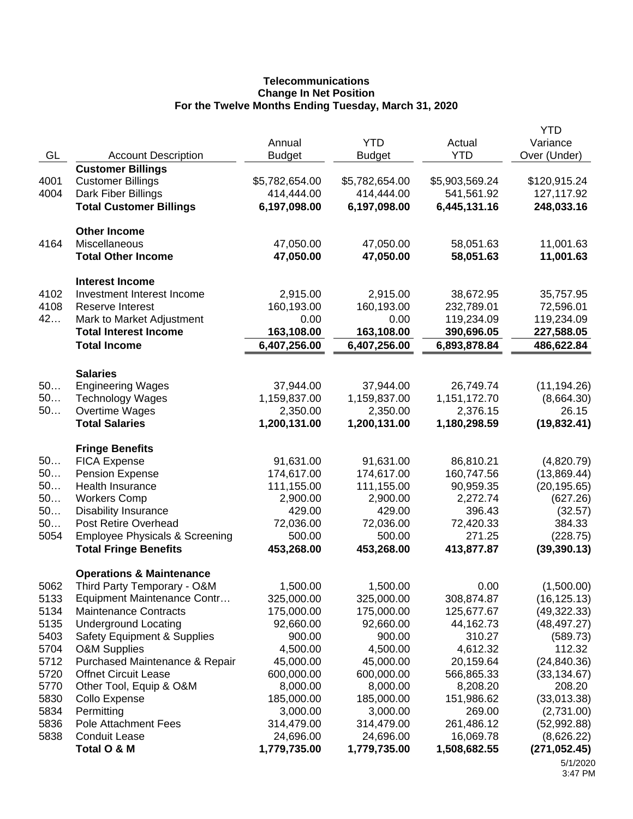# **Telecommunications Change In Net Position For the Twelve Months Ending Tuesday, March 31, 2020**

|      |                                           |                |                |                | <b>YTD</b>    |
|------|-------------------------------------------|----------------|----------------|----------------|---------------|
|      |                                           | Annual         | <b>YTD</b>     | Actual         | Variance      |
| GL   | <b>Account Description</b>                | <b>Budget</b>  | <b>Budget</b>  | <b>YTD</b>     | Over (Under)  |
|      | <b>Customer Billings</b>                  |                |                |                |               |
| 4001 | <b>Customer Billings</b>                  | \$5,782,654.00 | \$5,782,654.00 | \$5,903,569.24 | \$120,915.24  |
| 4004 | Dark Fiber Billings                       | 414,444.00     | 414,444.00     | 541,561.92     | 127,117.92    |
|      | <b>Total Customer Billings</b>            | 6,197,098.00   | 6,197,098.00   | 6,445,131.16   | 248,033.16    |
|      |                                           |                |                |                |               |
|      | <b>Other Income</b>                       |                |                |                |               |
| 4164 | Miscellaneous                             | 47,050.00      | 47,050.00      | 58,051.63      | 11,001.63     |
|      | <b>Total Other Income</b>                 | 47,050.00      | 47,050.00      | 58,051.63      | 11,001.63     |
|      |                                           |                |                |                |               |
|      | <b>Interest Income</b>                    |                |                |                |               |
| 4102 | Investment Interest Income                | 2,915.00       | 2,915.00       | 38,672.95      | 35,757.95     |
| 4108 | Reserve Interest                          | 160,193.00     | 160,193.00     | 232,789.01     | 72,596.01     |
| 42   | Mark to Market Adjustment                 | 0.00           | 0.00           | 119,234.09     | 119,234.09    |
|      | <b>Total Interest Income</b>              | 163,108.00     | 163,108.00     | 390,696.05     | 227,588.05    |
|      | <b>Total Income</b>                       | 6,407,256.00   | 6,407,256.00   | 6,893,878.84   | 486,622.84    |
|      |                                           |                |                |                |               |
|      | <b>Salaries</b>                           |                |                |                |               |
| 50   | <b>Engineering Wages</b>                  | 37,944.00      | 37,944.00      | 26,749.74      | (11, 194.26)  |
| 50   | <b>Technology Wages</b>                   | 1,159,837.00   | 1,159,837.00   | 1,151,172.70   | (8,664.30)    |
| 50   | Overtime Wages                            | 2,350.00       | 2,350.00       | 2,376.15       | 26.15         |
|      | <b>Total Salaries</b>                     | 1,200,131.00   | 1,200,131.00   | 1,180,298.59   | (19, 832.41)  |
|      |                                           |                |                |                |               |
|      | <b>Fringe Benefits</b>                    |                |                |                |               |
| 50   | <b>FICA Expense</b>                       | 91,631.00      | 91,631.00      | 86,810.21      | (4,820.79)    |
| 50   | <b>Pension Expense</b>                    | 174,617.00     | 174,617.00     | 160,747.56     | (13,869.44)   |
| 50   | Health Insurance                          | 111,155.00     | 111,155.00     | 90,959.35      | (20, 195.65)  |
| 50   | <b>Workers Comp</b>                       | 2,900.00       | 2,900.00       | 2,272.74       | (627.26)      |
| 50   | <b>Disability Insurance</b>               | 429.00         | 429.00         | 396.43         | (32.57)       |
| 50   | <b>Post Retire Overhead</b>               | 72,036.00      | 72,036.00      | 72,420.33      | 384.33        |
| 5054 | <b>Employee Physicals &amp; Screening</b> | 500.00         | 500.00         | 271.25         | (228.75)      |
|      | <b>Total Fringe Benefits</b>              | 453,268.00     | 453,268.00     | 413,877.87     | (39, 390.13)  |
|      |                                           |                |                |                |               |
|      | <b>Operations &amp; Maintenance</b>       |                |                |                |               |
| 5062 | Third Party Temporary - O&M               | 1,500.00       | 1,500.00       | 0.00           | (1,500.00)    |
| 5133 | Equipment Maintenance Contr               | 325,000.00     | 325,000.00     | 308,874.87     | (16, 125.13)  |
| 5134 | <b>Maintenance Contracts</b>              | 175,000.00     | 175,000.00     | 125,677.67     | (49,322.33)   |
| 5135 | <b>Underground Locating</b>               | 92,660.00      | 92,660.00      | 44,162.73      | (48, 497.27)  |
| 5403 | Safety Equipment & Supplies               | 900.00         | 900.00         | 310.27         | (589.73)      |
| 5704 | <b>O&amp;M Supplies</b>                   | 4,500.00       | 4,500.00       | 4,612.32       | 112.32        |
| 5712 | Purchased Maintenance & Repair            | 45,000.00      | 45,000.00      | 20,159.64      | (24, 840.36)  |
| 5720 | <b>Offnet Circuit Lease</b>               | 600,000.00     | 600,000.00     | 566,865.33     | (33, 134.67)  |
| 5770 | Other Tool, Equip & O&M                   | 8,000.00       | 8,000.00       | 8,208.20       | 208.20        |
| 5830 | Collo Expense                             | 185,000.00     | 185,000.00     | 151,986.62     | (33,013.38)   |
| 5834 | Permitting                                | 3,000.00       | 3,000.00       | 269.00         | (2,731.00)    |
| 5836 | <b>Pole Attachment Fees</b>               | 314,479.00     | 314,479.00     | 261,486.12     | (52,992.88)   |
| 5838 | <b>Conduit Lease</b>                      | 24,696.00      | 24,696.00      | 16,069.78      | (8,626.22)    |
|      | Total O & M                               | 1,779,735.00   | 1,779,735.00   | 1,508,682.55   | (271, 052.45) |
|      |                                           |                |                |                | 5/1/2020      |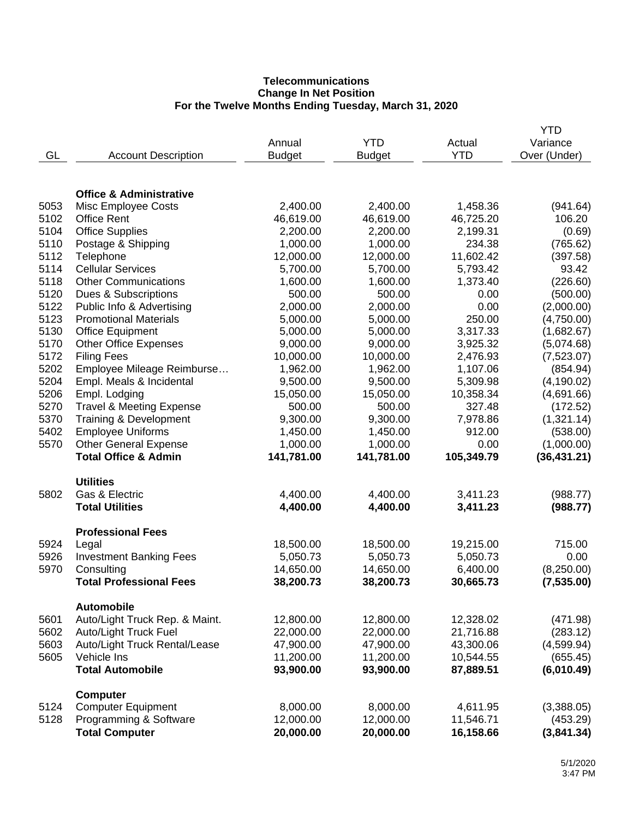## **Telecommunications Change In Net Position For the Twelve Months Ending Tuesday, March 31, 2020**

|      |                                    |               |               |            | <b>YTD</b>   |
|------|------------------------------------|---------------|---------------|------------|--------------|
|      |                                    | Annual        | <b>YTD</b>    | Actual     | Variance     |
| GL   | <b>Account Description</b>         | <b>Budget</b> | <b>Budget</b> | <b>YTD</b> | Over (Under) |
|      |                                    |               |               |            |              |
|      | <b>Office &amp; Administrative</b> |               |               |            |              |
| 5053 | Misc Employee Costs                | 2,400.00      | 2,400.00      | 1,458.36   | (941.64)     |
| 5102 | <b>Office Rent</b>                 | 46,619.00     | 46,619.00     | 46,725.20  | 106.20       |
| 5104 | <b>Office Supplies</b>             | 2,200.00      | 2,200.00      | 2,199.31   | (0.69)       |
| 5110 | Postage & Shipping                 | 1,000.00      | 1,000.00      | 234.38     | (765.62)     |
| 5112 | Telephone                          | 12,000.00     | 12,000.00     | 11,602.42  | (397.58)     |
| 5114 | <b>Cellular Services</b>           | 5,700.00      | 5,700.00      | 5,793.42   | 93.42        |
| 5118 | <b>Other Communications</b>        | 1,600.00      | 1,600.00      | 1,373.40   | (226.60)     |
| 5120 | Dues & Subscriptions               | 500.00        | 500.00        | 0.00       | (500.00)     |
| 5122 | Public Info & Advertising          | 2,000.00      | 2,000.00      | 0.00       | (2,000.00)   |
| 5123 | <b>Promotional Materials</b>       | 5,000.00      | 5,000.00      | 250.00     | (4,750.00)   |
| 5130 | <b>Office Equipment</b>            | 5,000.00      | 5,000.00      | 3,317.33   | (1,682.67)   |
| 5170 | <b>Other Office Expenses</b>       | 9,000.00      | 9,000.00      | 3,925.32   | (5,074.68)   |
| 5172 | <b>Filing Fees</b>                 | 10,000.00     | 10,000.00     | 2,476.93   | (7,523.07)   |
| 5202 | Employee Mileage Reimburse         | 1,962.00      | 1,962.00      | 1,107.06   | (854.94)     |
| 5204 | Empl. Meals & Incidental           | 9,500.00      | 9,500.00      | 5,309.98   | (4, 190.02)  |
| 5206 | Empl. Lodging                      | 15,050.00     | 15,050.00     | 10,358.34  | (4,691.66)   |
| 5270 | Travel & Meeting Expense           | 500.00        | 500.00        | 327.48     | (172.52)     |
| 5370 | Training & Development             | 9,300.00      | 9,300.00      | 7,978.86   | (1,321.14)   |
| 5402 | <b>Employee Uniforms</b>           | 1,450.00      | 1,450.00      | 912.00     | (538.00)     |
| 5570 | <b>Other General Expense</b>       | 1,000.00      | 1,000.00      | 0.00       | (1,000.00)   |
|      | <b>Total Office &amp; Admin</b>    | 141,781.00    | 141,781.00    | 105,349.79 | (36, 431.21) |
|      | <b>Utilities</b>                   |               |               |            |              |
| 5802 | Gas & Electric                     | 4,400.00      | 4,400.00      | 3,411.23   | (988.77)     |
|      | <b>Total Utilities</b>             | 4,400.00      | 4,400.00      | 3,411.23   | (988.77)     |
|      | <b>Professional Fees</b>           |               |               |            |              |
| 5924 | Legal                              | 18,500.00     | 18,500.00     | 19,215.00  | 715.00       |
| 5926 | <b>Investment Banking Fees</b>     | 5,050.73      | 5,050.73      | 5,050.73   | 0.00         |
| 5970 | Consulting                         | 14,650.00     | 14,650.00     | 6,400.00   | (8,250.00)   |
|      | <b>Total Professional Fees</b>     | 38,200.73     | 38,200.73     | 30,665.73  | (7, 535.00)  |
|      | <b>Automobile</b>                  |               |               |            |              |
| 5601 | Auto/Light Truck Rep. & Maint.     | 12,800.00     | 12,800.00     | 12,328.02  | (471.98)     |
| 5602 | Auto/Light Truck Fuel              | 22,000.00     | 22,000.00     | 21,716.88  | (283.12)     |
| 5603 | Auto/Light Truck Rental/Lease      | 47,900.00     | 47,900.00     | 43,300.06  | (4,599.94)   |
| 5605 | Vehicle Ins                        | 11,200.00     | 11,200.00     | 10,544.55  | (655.45)     |
|      | <b>Total Automobile</b>            | 93,900.00     | 93,900.00     | 87,889.51  | (6,010.49)   |
|      | <b>Computer</b>                    |               |               |            |              |
| 5124 | <b>Computer Equipment</b>          | 8,000.00      | 8,000.00      | 4,611.95   | (3,388.05)   |
| 5128 | Programming & Software             | 12,000.00     | 12,000.00     | 11,546.71  | (453.29)     |
|      | <b>Total Computer</b>              | 20,000.00     | 20,000.00     | 16,158.66  | (3,841.34)   |
|      |                                    |               |               |            |              |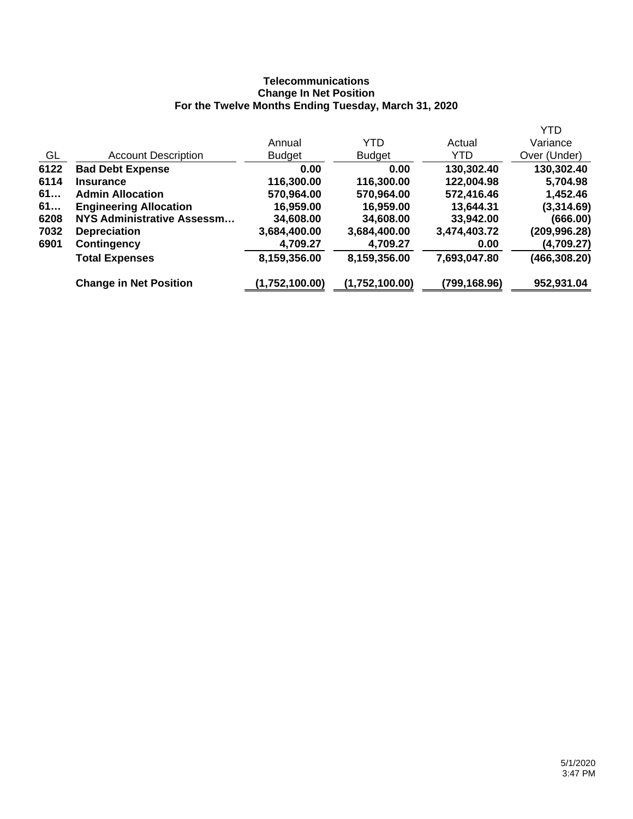## **Telecommunications Change In Net Position For the Twelve Months Ending Tuesday, March 31, 2020**

|      |                               |                |                |              | YTD          |
|------|-------------------------------|----------------|----------------|--------------|--------------|
|      |                               | Annual         | YTD            | Actual       | Variance     |
| GL   | <b>Account Description</b>    | <b>Budget</b>  | <b>Budget</b>  | YTD          | Over (Under) |
| 6122 | <b>Bad Debt Expense</b>       | 0.00           | 0.00           | 130,302.40   | 130,302.40   |
| 6114 | <b>Insurance</b>              | 116,300.00     | 116,300.00     | 122,004.98   | 5,704.98     |
| 61   | <b>Admin Allocation</b>       | 570,964.00     | 570,964.00     | 572,416.46   | 1,452.46     |
| 61   | <b>Engineering Allocation</b> | 16,959.00      | 16,959.00      | 13,644.31    | (3,314.69)   |
| 6208 | NYS Administrative Assessm    | 34,608.00      | 34,608.00      | 33,942.00    | (666.00)     |
| 7032 | <b>Depreciation</b>           | 3,684,400.00   | 3,684,400.00   | 3,474,403.72 | (209,996.28) |
| 6901 | <b>Contingency</b>            | 4,709.27       | 4,709.27       | 0.00         | (4,709.27)   |
|      | <b>Total Expenses</b>         | 8,159,356.00   | 8,159,356.00   | 7,693,047.80 | (466,308.20) |
|      | <b>Change in Net Position</b> | (1,752,100.00) | (1,752,100.00) | (799,168.96) | 952,931.04   |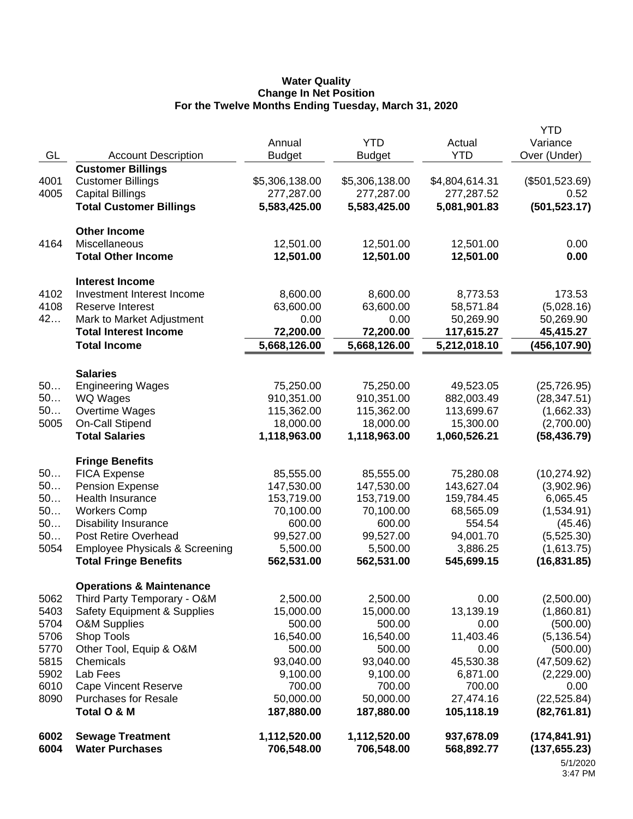#### **Water Quality Change In Net Position For the Twelve Months Ending Tuesday, March 31, 2020**

|      |                                           |                |                |                | <b>YTD</b>                |
|------|-------------------------------------------|----------------|----------------|----------------|---------------------------|
|      |                                           | Annual         | <b>YTD</b>     | Actual         | Variance                  |
| GL   | <b>Account Description</b>                | <b>Budget</b>  | <b>Budget</b>  | <b>YTD</b>     | Over (Under)              |
|      | <b>Customer Billings</b>                  |                |                |                |                           |
| 4001 | <b>Customer Billings</b>                  | \$5,306,138.00 | \$5,306,138.00 | \$4,804,614.31 | (\$501,523.69)            |
| 4005 | <b>Capital Billings</b>                   | 277,287.00     | 277,287.00     | 277,287.52     | 0.52                      |
|      | <b>Total Customer Billings</b>            | 5,583,425.00   | 5,583,425.00   | 5,081,901.83   | (501, 523.17)             |
|      | <b>Other Income</b>                       |                |                |                |                           |
| 4164 | Miscellaneous                             | 12,501.00      | 12,501.00      | 12,501.00      | 0.00                      |
|      | <b>Total Other Income</b>                 | 12,501.00      | 12,501.00      | 12,501.00      | 0.00                      |
|      | <b>Interest Income</b>                    |                |                |                |                           |
| 4102 | Investment Interest Income                | 8,600.00       | 8,600.00       | 8,773.53       | 173.53                    |
| 4108 | <b>Reserve Interest</b>                   | 63,600.00      | 63,600.00      | 58,571.84      | (5,028.16)                |
| 42   | Mark to Market Adjustment                 | 0.00           | 0.00           | 50,269.90      | 50,269.90                 |
|      | <b>Total Interest Income</b>              | 72,200.00      | 72,200.00      | 117,615.27     | 45,415.27                 |
|      | <b>Total Income</b>                       | 5,668,126.00   | 5,668,126.00   | 5,212,018.10   | (456, 107.90)             |
|      | <b>Salaries</b>                           |                |                |                |                           |
| 50   | <b>Engineering Wages</b>                  | 75,250.00      | 75,250.00      | 49,523.05      | (25, 726.95)              |
| 50   | WQ Wages                                  | 910,351.00     | 910,351.00     | 882,003.49     | (28, 347.51)              |
| 50   | Overtime Wages                            | 115,362.00     | 115,362.00     | 113,699.67     | (1,662.33)                |
| 5005 | <b>On-Call Stipend</b>                    | 18,000.00      | 18,000.00      | 15,300.00      | (2,700.00)                |
|      | <b>Total Salaries</b>                     | 1,118,963.00   | 1,118,963.00   | 1,060,526.21   | (58, 436.79)              |
|      | <b>Fringe Benefits</b>                    |                |                |                |                           |
| 50   | <b>FICA Expense</b>                       | 85,555.00      | 85,555.00      | 75,280.08      | (10, 274.92)              |
| 50   | <b>Pension Expense</b>                    | 147,530.00     | 147,530.00     | 143,627.04     | (3,902.96)                |
| 50   | Health Insurance                          | 153,719.00     | 153,719.00     | 159,784.45     | 6,065.45                  |
| 50   | <b>Workers Comp</b>                       | 70,100.00      | 70,100.00      | 68,565.09      | (1,534.91)                |
| 50   | <b>Disability Insurance</b>               | 600.00         | 600.00         | 554.54         | (45.46)                   |
| 50   | <b>Post Retire Overhead</b>               | 99,527.00      | 99,527.00      | 94,001.70      | (5,525.30)                |
| 5054 | <b>Employee Physicals &amp; Screening</b> | 5,500.00       | 5,500.00       | 3,886.25       | (1,613.75)                |
|      | <b>Total Fringe Benefits</b>              | 562,531.00     | 562,531.00     | 545,699.15     | (16, 831.85)              |
|      | <b>Operations &amp; Maintenance</b>       |                |                |                |                           |
| 5062 | Third Party Temporary - O&M               | 2,500.00       | 2,500.00       | 0.00           | (2,500.00)                |
| 5403 | <b>Safety Equipment &amp; Supplies</b>    | 15,000.00      | 15,000.00      | 13,139.19      | (1,860.81)                |
| 5704 | <b>O&amp;M Supplies</b>                   | 500.00         | 500.00         | 0.00           | (500.00)                  |
| 5706 | Shop Tools                                | 16,540.00      | 16,540.00      | 11,403.46      | (5, 136.54)               |
| 5770 | Other Tool, Equip & O&M                   | 500.00         | 500.00         | 0.00           | (500.00)                  |
| 5815 | Chemicals                                 | 93,040.00      | 93,040.00      | 45,530.38      | (47,509.62)               |
| 5902 | Lab Fees                                  | 9,100.00       | 9,100.00       | 6,871.00       | (2,229.00)                |
| 6010 | <b>Cape Vincent Reserve</b>               | 700.00         | 700.00         | 700.00         | 0.00                      |
| 8090 | <b>Purchases for Resale</b>               | 50,000.00      | 50,000.00      | 27,474.16      | (22, 525.84)              |
|      | Total O & M                               | 187,880.00     | 187,880.00     | 105,118.19     | (82, 761.81)              |
| 6002 | <b>Sewage Treatment</b>                   | 1,112,520.00   | 1,112,520.00   | 937,678.09     | (174, 841.91)             |
| 6004 | <b>Water Purchases</b>                    | 706,548.00     | 706,548.00     | 568,892.77     | (137, 655.23)<br>5/1/2020 |

<sup>3:47</sup> PM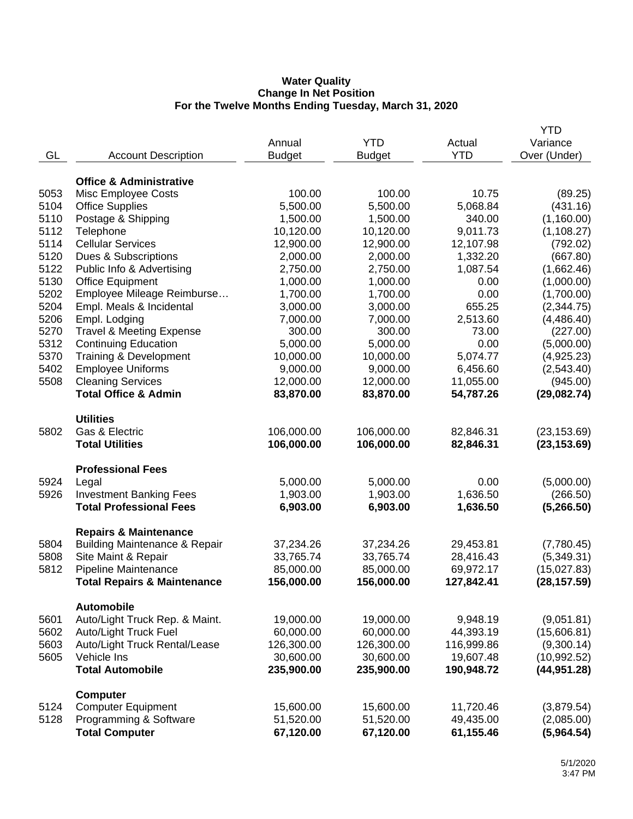#### **Water Quality Change In Net Position For the Twelve Months Ending Tuesday, March 31, 2020**

|      |                                                                  |                        |                      |                        | <b>YTD</b>               |
|------|------------------------------------------------------------------|------------------------|----------------------|------------------------|--------------------------|
|      |                                                                  | Annual                 | <b>YTD</b>           | Actual                 | Variance                 |
| GL   | <b>Account Description</b>                                       | <b>Budget</b>          | <b>Budget</b>        | <b>YTD</b>             | Over (Under)             |
|      |                                                                  |                        |                      |                        |                          |
|      | <b>Office &amp; Administrative</b>                               |                        |                      |                        |                          |
| 5053 | Misc Employee Costs                                              | 100.00                 | 100.00               | 10.75                  | (89.25)                  |
| 5104 | <b>Office Supplies</b>                                           | 5,500.00               | 5,500.00             | 5,068.84               | (431.16)                 |
| 5110 | Postage & Shipping                                               | 1,500.00               | 1,500.00             | 340.00                 | (1,160.00)               |
| 5112 | Telephone                                                        | 10,120.00              | 10,120.00            | 9,011.73               | (1, 108.27)              |
| 5114 | <b>Cellular Services</b>                                         | 12,900.00              | 12,900.00            | 12,107.98              | (792.02)                 |
| 5120 | Dues & Subscriptions                                             | 2,000.00               | 2,000.00             | 1,332.20               | (667.80)                 |
| 5122 | Public Info & Advertising                                        | 2,750.00               | 2,750.00             | 1,087.54               | (1,662.46)               |
| 5130 | <b>Office Equipment</b>                                          | 1,000.00               | 1,000.00             | 0.00                   | (1,000.00)               |
| 5202 | Employee Mileage Reimburse                                       | 1,700.00               | 1,700.00             | 0.00                   | (1,700.00)               |
| 5204 | Empl. Meals & Incidental                                         | 3,000.00               | 3,000.00             | 655.25                 | (2,344.75)               |
| 5206 | Empl. Lodging                                                    | 7,000.00               | 7,000.00             | 2,513.60               | (4,486.40)               |
| 5270 | <b>Travel &amp; Meeting Expense</b>                              | 300.00                 | 300.00               | 73.00                  | (227.00)                 |
| 5312 | <b>Continuing Education</b>                                      | 5,000.00               | 5,000.00             | 0.00                   | (5,000.00)               |
| 5370 | Training & Development                                           | 10,000.00              | 10,000.00            | 5,074.77               | (4,925.23)               |
| 5402 | <b>Employee Uniforms</b>                                         | 9,000.00               | 9,000.00             | 6,456.60               | (2,543.40)               |
| 5508 | <b>Cleaning Services</b>                                         | 12,000.00              | 12,000.00            | 11,055.00              | (945.00)                 |
|      | <b>Total Office &amp; Admin</b>                                  | 83,870.00              | 83,870.00            | 54,787.26              | (29,082.74)              |
|      |                                                                  |                        |                      |                        |                          |
|      | <b>Utilities</b>                                                 |                        |                      |                        |                          |
| 5802 | Gas & Electric                                                   | 106,000.00             | 106,000.00           | 82,846.31              | (23, 153.69)             |
|      | <b>Total Utilities</b>                                           | 106,000.00             | 106,000.00           | 82,846.31              | (23, 153.69)             |
|      |                                                                  |                        |                      |                        |                          |
|      | <b>Professional Fees</b>                                         |                        |                      |                        |                          |
| 5924 | Legal                                                            | 5,000.00               | 5,000.00             | 0.00<br>1,636.50       | (5,000.00)               |
| 5926 | <b>Investment Banking Fees</b><br><b>Total Professional Fees</b> | 1,903.00<br>6,903.00   | 1,903.00<br>6,903.00 | 1,636.50               | (266.50)                 |
|      |                                                                  |                        |                      |                        | (5,266.50)               |
|      | <b>Repairs &amp; Maintenance</b>                                 |                        |                      |                        |                          |
| 5804 | <b>Building Maintenance &amp; Repair</b>                         | 37,234.26              | 37,234.26            | 29,453.81              | (7,780.45)               |
| 5808 | Site Maint & Repair                                              | 33,765.74              | 33,765.74            | 28,416.43              | (5,349.31)               |
| 5812 | Pipeline Maintenance                                             | 85,000.00              | 85,000.00            | 69,972.17              | (15,027.83)              |
|      | <b>Total Repairs &amp; Maintenance</b>                           | 156,000.00             | 156,000.00           | 127,842.41             | (28, 157.59)             |
|      |                                                                  |                        |                      |                        |                          |
|      | <b>Automobile</b>                                                |                        |                      |                        |                          |
| 5601 | Auto/Light Truck Rep. & Maint.                                   | 19,000.00              | 19,000.00            | 9,948.19               | (9,051.81)               |
| 5602 | Auto/Light Truck Fuel                                            | 60,000.00              | 60,000.00            | 44,393.19              | (15,606.81)              |
| 5603 | Auto/Light Truck Rental/Lease                                    | 126,300.00             | 126,300.00           | 116,999.86             | (9,300.14)               |
| 5605 | Vehicle Ins                                                      | 30,600.00              | 30,600.00            | 19,607.48              | (10,992.52)              |
|      | <b>Total Automobile</b>                                          | 235,900.00             | 235,900.00           | 190,948.72             | (44, 951.28)             |
|      |                                                                  |                        |                      |                        |                          |
| 5124 | <b>Computer</b>                                                  |                        | 15,600.00            |                        |                          |
| 5128 | <b>Computer Equipment</b><br>Programming & Software              | 15,600.00<br>51,520.00 | 51,520.00            | 11,720.46<br>49,435.00 | (3,879.54)<br>(2,085.00) |
|      | <b>Total Computer</b>                                            | 67,120.00              | 67,120.00            | 61,155.46              | (5,964.54)               |
|      |                                                                  |                        |                      |                        |                          |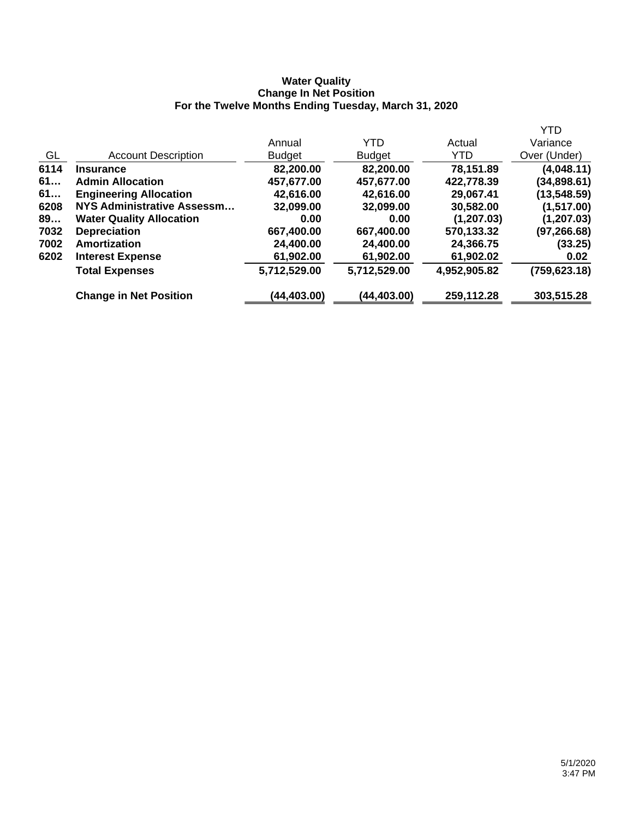### **Water Quality Change In Net Position For the Twelve Months Ending Tuesday, March 31, 2020**

|      |                                 |               |               |              | <b>YTD</b>    |
|------|---------------------------------|---------------|---------------|--------------|---------------|
|      |                                 | Annual        | <b>YTD</b>    | Actual       | Variance      |
| GL   | <b>Account Description</b>      | <b>Budget</b> | <b>Budget</b> | YTD.         | Over (Under)  |
| 6114 | <b>Insurance</b>                | 82,200.00     | 82,200.00     | 78,151.89    | (4,048.11)    |
| 61   | <b>Admin Allocation</b>         | 457,677.00    | 457,677.00    | 422,778.39   | (34,898.61)   |
| 61   | <b>Engineering Allocation</b>   | 42,616.00     | 42,616.00     | 29,067.41    | (13, 548.59)  |
| 6208 | NYS Administrative Assessm      | 32,099.00     | 32,099.00     | 30,582.00    | (1,517.00)    |
| 89   | <b>Water Quality Allocation</b> | 0.00          | 0.00          | (1, 207.03)  | (1, 207.03)   |
| 7032 | <b>Depreciation</b>             | 667,400.00    | 667,400.00    | 570,133.32   | (97, 266.68)  |
| 7002 | <b>Amortization</b>             | 24,400.00     | 24,400.00     | 24,366.75    | (33.25)       |
| 6202 | <b>Interest Expense</b>         | 61,902.00     | 61,902.00     | 61,902.02    | 0.02          |
|      | <b>Total Expenses</b>           | 5,712,529.00  | 5,712,529.00  | 4,952,905.82 | (759, 623.18) |
|      | <b>Change in Net Position</b>   | (44, 403.00)  | (44, 403.00)  | 259,112.28   | 303,515.28    |
|      |                                 |               |               |              |               |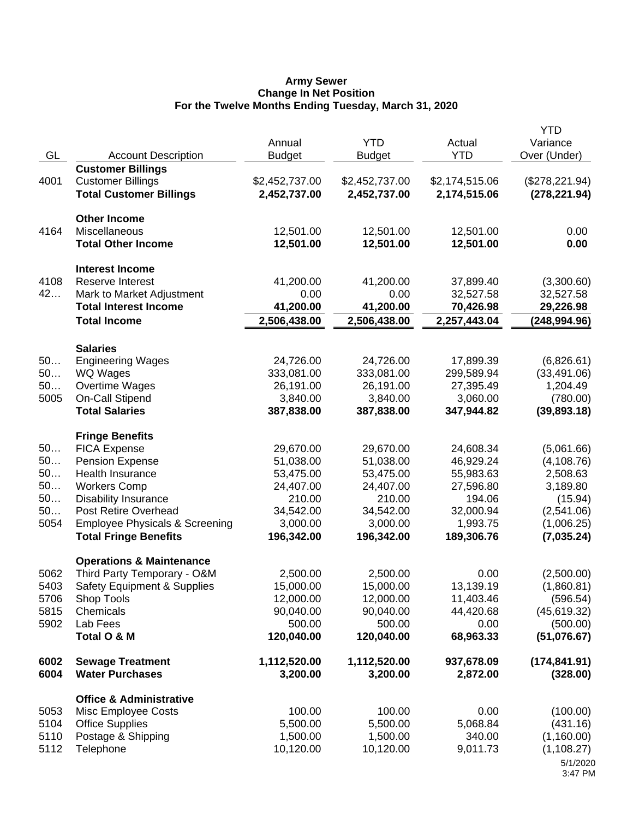#### **Army Sewer Change In Net Position For the Twelve Months Ending Tuesday, March 31, 2020**

|          |                                                    | Annual              | <b>YTD</b>          | Actual              | <b>YTD</b><br>Variance |
|----------|----------------------------------------------------|---------------------|---------------------|---------------------|------------------------|
| GL       | <b>Account Description</b>                         | <b>Budget</b>       | <b>Budget</b>       | <b>YTD</b>          | Over (Under)           |
|          | <b>Customer Billings</b>                           |                     |                     |                     |                        |
| 4001     | <b>Customer Billings</b>                           | \$2,452,737.00      | \$2,452,737.00      | \$2,174,515.06      | (\$278,221.94)         |
|          | <b>Total Customer Billings</b>                     | 2,452,737.00        | 2,452,737.00        | 2,174,515.06        | (278, 221.94)          |
|          | <b>Other Income</b>                                |                     |                     |                     |                        |
| 4164     | Miscellaneous                                      | 12,501.00           | 12,501.00           | 12,501.00           | 0.00                   |
|          | <b>Total Other Income</b>                          | 12,501.00           | 12,501.00           | 12,501.00           | 0.00                   |
|          | <b>Interest Income</b>                             |                     |                     |                     |                        |
| 4108     | Reserve Interest                                   | 41,200.00           | 41,200.00           | 37,899.40           | (3,300.60)             |
| 42       | Mark to Market Adjustment                          | 0.00                | 0.00                | 32,527.58           | 32,527.58              |
|          | <b>Total Interest Income</b>                       | 41,200.00           | 41,200.00           | 70,426.98           | 29,226.98              |
|          | <b>Total Income</b>                                | 2,506,438.00        | 2,506,438.00        | 2,257,443.04        | (248, 994.96)          |
|          | <b>Salaries</b>                                    |                     |                     |                     |                        |
| 50       | <b>Engineering Wages</b>                           | 24,726.00           | 24,726.00           | 17,899.39           | (6,826.61)             |
| 50       | <b>WQ Wages</b>                                    | 333,081.00          | 333,081.00          | 299,589.94          | (33, 491.06)           |
| 50       | Overtime Wages                                     | 26,191.00           | 26,191.00           | 27,395.49           | 1,204.49               |
| 5005     | On-Call Stipend                                    | 3,840.00            | 3,840.00            | 3,060.00            | (780.00)               |
|          | <b>Total Salaries</b>                              | 387,838.00          | 387,838.00          | 347,944.82          | (39,893.18)            |
|          | <b>Fringe Benefits</b>                             |                     |                     |                     |                        |
| 50       | <b>FICA Expense</b>                                | 29,670.00           | 29,670.00           | 24,608.34           | (5,061.66)             |
| 50       | <b>Pension Expense</b>                             | 51,038.00           | 51,038.00           | 46,929.24           | (4, 108.76)            |
| 50<br>50 | Health Insurance                                   | 53,475.00           | 53,475.00           | 55,983.63           | 2,508.63               |
| 50       | <b>Workers Comp</b><br><b>Disability Insurance</b> | 24,407.00<br>210.00 | 24,407.00<br>210.00 | 27,596.80<br>194.06 | 3,189.80<br>(15.94)    |
| 50       | Post Retire Overhead                               | 34,542.00           | 34,542.00           | 32,000.94           | (2,541.06)             |
| 5054     | <b>Employee Physicals &amp; Screening</b>          | 3,000.00            | 3,000.00            | 1,993.75            | (1,006.25)             |
|          | <b>Total Fringe Benefits</b>                       | 196,342.00          | 196,342.00          | 189,306.76          | (7,035.24)             |
|          | <b>Operations &amp; Maintenance</b>                |                     |                     |                     |                        |
| 5062     | Third Party Temporary - O&M                        | 2,500.00            | 2,500.00            | 0.00                | (2,500.00)             |
| 5403     | <b>Safety Equipment &amp; Supplies</b>             | 15,000.00           | 15,000.00           | 13,139.19           | (1,860.81)             |
| 5706     | Shop Tools                                         | 12,000.00           | 12,000.00           | 11,403.46           | (596.54)               |
| 5815     | Chemicals                                          | 90,040.00           | 90,040.00           | 44,420.68           | (45, 619.32)           |
| 5902     | Lab Fees                                           | 500.00              | 500.00              | 0.00                | (500.00)               |
|          | Total O & M                                        | 120,040.00          | 120,040.00          | 68,963.33           | (51,076.67)            |
| 6002     | <b>Sewage Treatment</b>                            | 1,112,520.00        | 1,112,520.00        | 937,678.09          | (174, 841.91)          |
| 6004     | <b>Water Purchases</b>                             | 3,200.00            | 3,200.00            | 2,872.00            | (328.00)               |
|          | <b>Office &amp; Administrative</b>                 |                     |                     |                     |                        |
| 5053     | Misc Employee Costs                                | 100.00              | 100.00              | 0.00                | (100.00)               |
| 5104     | <b>Office Supplies</b>                             | 5,500.00            | 5,500.00            | 5,068.84            | (431.16)               |
| 5110     | Postage & Shipping                                 | 1,500.00            | 1,500.00            | 340.00              | (1,160.00)             |
| 5112     | Telephone                                          | 10,120.00           | 10,120.00           | 9,011.73            | (1, 108.27)            |
|          |                                                    |                     |                     |                     | 5/1/2020<br>3:47 PM    |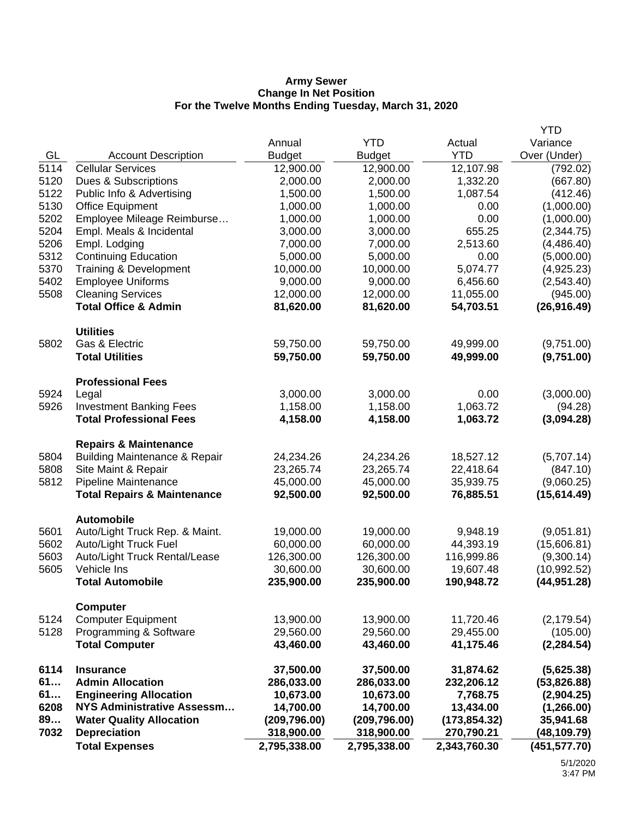#### **Army Sewer Change In Net Position For the Twelve Months Ending Tuesday, March 31, 2020**

| 7032         | <b>Depreciation</b><br><b>Total Expenses</b>                                 | 318,900.00<br>2,795,338.00 | 318,900.00<br>2,795,338.00 | 270,790.21<br>2,343,760.30 | (48, 109.79)<br>(451, 577.70) |
|--------------|------------------------------------------------------------------------------|----------------------------|----------------------------|----------------------------|-------------------------------|
| 6208<br>89   | <b>NYS Administrative Assessm</b><br><b>Water Quality Allocation</b>         | 14,700.00<br>(209, 796.00) | 14,700.00<br>(209, 796.00) | 13,434.00<br>(173, 854.32) | (1,266.00)<br>35,941.68       |
| 61<br>61     | <b>Admin Allocation</b><br><b>Engineering Allocation</b>                     | 286,033.00<br>10,673.00    | 286,033.00<br>10,673.00    | 232,206.12<br>7,768.75     | (53,826.88)<br>(2,904.25)     |
| 6114         | <b>Insurance</b>                                                             | 37,500.00                  | 37,500.00                  | 31,874.62                  | (5,625.38)                    |
|              | <b>Total Computer</b>                                                        | 43,460.00                  | 43,460.00                  | 41,175.46                  | (2, 284.54)                   |
| 5124<br>5128 | <b>Computer Equipment</b><br>Programming & Software                          | 13,900.00<br>29,560.00     | 13,900.00<br>29,560.00     | 11,720.46<br>29,455.00     | (2, 179.54)<br>(105.00)       |
|              | <b>Computer</b>                                                              |                            |                            |                            |                               |
|              | <b>Total Automobile</b>                                                      | 235,900.00                 | 235,900.00                 | 190,948.72                 | (44, 951.28)                  |
| 5603<br>5605 | Auto/Light Truck Rental/Lease<br>Vehicle Ins                                 | 126,300.00<br>30,600.00    | 126,300.00<br>30,600.00    | 116,999.86<br>19,607.48    | (9,300.14)<br>(10,992.52)     |
| 5602         | Auto/Light Truck Fuel                                                        | 60,000.00                  | 60,000.00                  | 44,393.19                  | (15,606.81)                   |
| 5601         | <b>Automobile</b><br>Auto/Light Truck Rep. & Maint.                          | 19,000.00                  | 19,000.00                  | 9,948.19                   | (9,051.81)                    |
|              | <b>Total Repairs &amp; Maintenance</b>                                       | 92,500.00                  | 92,500.00                  | 76,885.51                  | (15,614.49)                   |
| 5812         | Pipeline Maintenance                                                         | 45,000.00                  | 45,000.00                  | 35,939.75                  | (9,060.25)                    |
| 5808         | Site Maint & Repair                                                          | 23,265.74                  | 23,265.74                  | 22,418.64                  | (847.10)                      |
| 5804         | <b>Repairs &amp; Maintenance</b><br><b>Building Maintenance &amp; Repair</b> | 24,234.26                  | 24,234.26                  | 18,527.12                  | (5,707.14)                    |
|              | <b>Total Professional Fees</b>                                               | 4,158.00                   | 4,158.00                   | 1,063.72                   | (3,094.28)                    |
| 5924<br>5926 | Legal<br><b>Investment Banking Fees</b>                                      | 3,000.00<br>1,158.00       | 3,000.00<br>1,158.00       | 0.00<br>1,063.72           | (3,000.00)<br>(94.28)         |
|              | <b>Professional Fees</b>                                                     |                            |                            |                            |                               |
| 5802         | Gas & Electric<br><b>Total Utilities</b>                                     | 59,750.00<br>59,750.00     | 59,750.00<br>59,750.00     | 49,999.00<br>49,999.00     | (9,751.00)<br>(9,751.00)      |
|              | <b>Utilities</b>                                                             |                            |                            |                            |                               |
|              | <b>Total Office &amp; Admin</b>                                              | 81,620.00                  | 81,620.00                  | 54,703.51                  | (26, 916.49)                  |
| 5402<br>5508 | <b>Employee Uniforms</b><br><b>Cleaning Services</b>                         | 9,000.00<br>12,000.00      | 9,000.00<br>12,000.00      | 6,456.60<br>11,055.00      | (2,543.40)<br>(945.00)        |
| 5370         | <b>Training &amp; Development</b>                                            | 10,000.00                  | 10,000.00                  | 5,074.77                   | (4,925.23)                    |
| 5312         | <b>Continuing Education</b>                                                  | 5,000.00                   | 5,000.00                   | 0.00                       | (5,000.00)                    |
| 5206         | Empl. Lodging                                                                | 7,000.00                   | 7,000.00                   | 2,513.60                   | (4, 486.40)                   |
| 5202<br>5204 | Employee Mileage Reimburse<br>Empl. Meals & Incidental                       | 1,000.00<br>3,000.00       | 1,000.00<br>3,000.00       | 0.00<br>655.25             | (1,000.00)<br>(2,344.75)      |
| 5130         | <b>Office Equipment</b>                                                      | 1,000.00                   | 1,000.00                   | 0.00                       | (1,000.00)                    |
| 5122         | Public Info & Advertising                                                    | 1,500.00                   | 1,500.00                   | 1,087.54                   | (412.46)                      |
| 5120         | Dues & Subscriptions                                                         | 2,000.00                   | 2,000.00                   | 1,332.20                   | (667.80)                      |
| 5114         | <b>Cellular Services</b>                                                     | 12,900.00                  | 12,900.00                  | 12,107.98                  | (792.02)                      |
| GL           | <b>Account Description</b>                                                   | <b>Budget</b>              | <b>Budget</b>              | <b>YTD</b>                 | Over (Under)                  |
|              |                                                                              | Annual                     | <b>YTD</b>                 | Actual                     | <b>YTD</b><br>Variance        |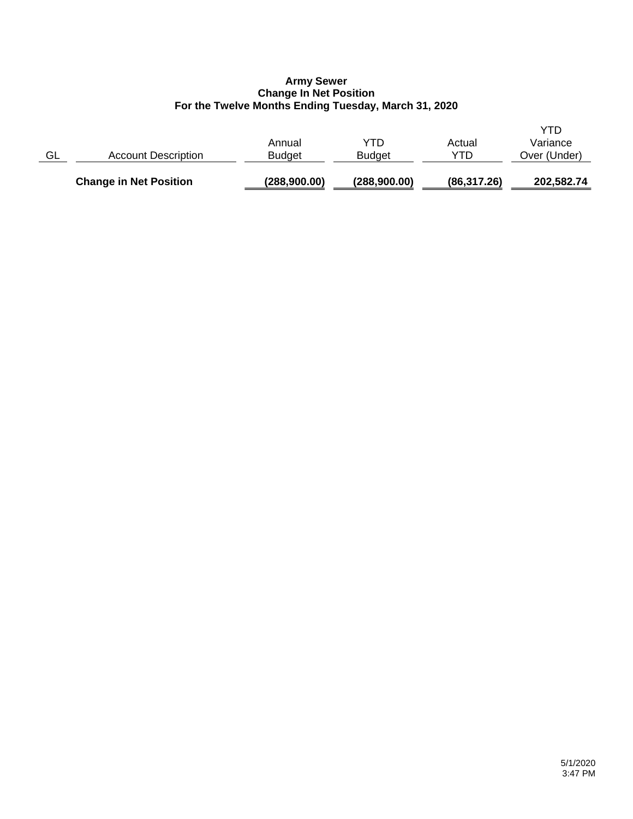## **Army Sewer Change In Net Position For the Twelve Months Ending Tuesday, March 31, 2020**

|    | <b>Change in Net Position</b> | (288,900.00)            | (288,900.00)         | (86, 317.26)  | 202,582.74                      |
|----|-------------------------------|-------------------------|----------------------|---------------|---------------------------------|
| GL | <b>Account Description</b>    | Annual<br><b>Budget</b> | YTD<br><b>Budget</b> | Actual<br>YTD | YTD<br>Variance<br>Over (Under) |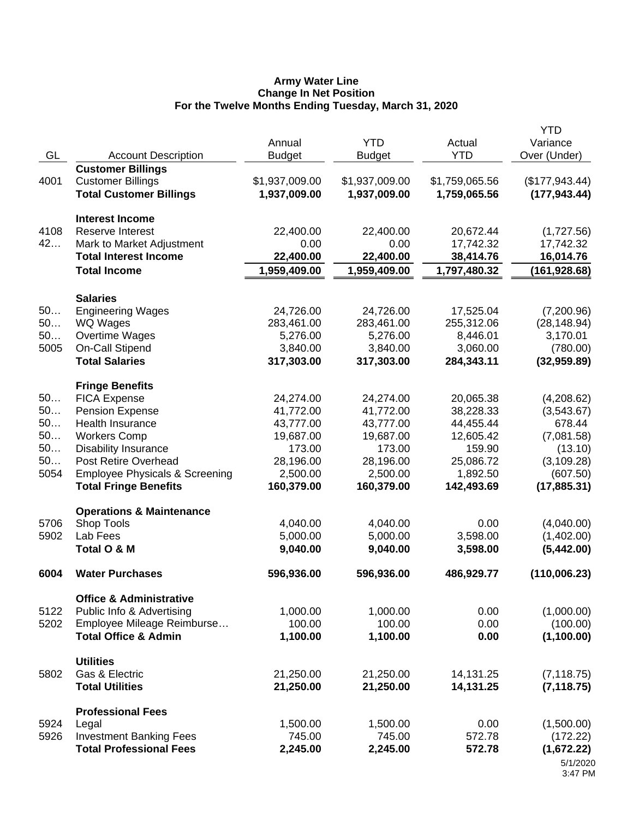#### **Army Water Line Change In Net Position For the Twelve Months Ending Tuesday, March 31, 2020**

| GL                                       | <b>Account Description</b>                                                                                                                                                                                                                  | Annual<br><b>Budget</b>                                                                           | <b>YTD</b><br><b>Budget</b>                                                                       | Actual<br><b>YTD</b>                                                                              | <b>YTD</b><br>Variance<br>Over (Under)                                                                 |
|------------------------------------------|---------------------------------------------------------------------------------------------------------------------------------------------------------------------------------------------------------------------------------------------|---------------------------------------------------------------------------------------------------|---------------------------------------------------------------------------------------------------|---------------------------------------------------------------------------------------------------|--------------------------------------------------------------------------------------------------------|
| 4001                                     | <b>Customer Billings</b><br><b>Customer Billings</b><br><b>Total Customer Billings</b>                                                                                                                                                      | \$1,937,009.00<br>1,937,009.00                                                                    | \$1,937,009.00<br>1,937,009.00                                                                    | \$1,759,065.56<br>1,759,065.56                                                                    | (\$177,943.44)<br>(177, 943.44)                                                                        |
| 4108<br>42                               | <b>Interest Income</b><br>Reserve Interest<br>Mark to Market Adjustment<br><b>Total Interest Income</b>                                                                                                                                     | 22,400.00<br>0.00<br>22,400.00                                                                    | 22,400.00<br>0.00<br>22,400.00                                                                    | 20,672.44<br>17,742.32<br>38,414.76                                                               | (1,727.56)<br>17,742.32<br>16,014.76                                                                   |
|                                          | <b>Total Income</b>                                                                                                                                                                                                                         | 1,959,409.00                                                                                      | 1,959,409.00                                                                                      | 1,797,480.32                                                                                      | (161, 928.68)                                                                                          |
|                                          | <b>Salaries</b>                                                                                                                                                                                                                             |                                                                                                   |                                                                                                   |                                                                                                   |                                                                                                        |
| 50<br>50<br>50<br>5005                   | <b>Engineering Wages</b><br>WQ Wages<br>Overtime Wages<br>On-Call Stipend<br><b>Total Salaries</b>                                                                                                                                          | 24,726.00<br>283,461.00<br>5,276.00<br>3,840.00<br>317,303.00                                     | 24,726.00<br>283,461.00<br>5,276.00<br>3,840.00<br>317,303.00                                     | 17,525.04<br>255,312.06<br>8,446.01<br>3,060.00<br>284,343.11                                     | (7,200.96)<br>(28, 148.94)<br>3,170.01<br>(780.00)<br>(32,959.89)                                      |
| 50<br>50<br>50<br>50<br>50<br>50<br>5054 | <b>Fringe Benefits</b><br><b>FICA Expense</b><br><b>Pension Expense</b><br>Health Insurance<br><b>Workers Comp</b><br><b>Disability Insurance</b><br>Post Retire Overhead<br>Employee Physicals & Screening<br><b>Total Fringe Benefits</b> | 24,274.00<br>41,772.00<br>43,777.00<br>19,687.00<br>173.00<br>28,196.00<br>2,500.00<br>160,379.00 | 24,274.00<br>41,772.00<br>43,777.00<br>19,687.00<br>173.00<br>28,196.00<br>2,500.00<br>160,379.00 | 20,065.38<br>38,228.33<br>44,455.44<br>12,605.42<br>159.90<br>25,086.72<br>1,892.50<br>142,493.69 | (4,208.62)<br>(3,543.67)<br>678.44<br>(7,081.58)<br>(13.10)<br>(3, 109.28)<br>(607.50)<br>(17, 885.31) |
| 5706<br>5902                             | <b>Operations &amp; Maintenance</b><br>Shop Tools<br>Lab Fees<br>Total O & M                                                                                                                                                                | 4,040.00<br>5,000.00<br>9,040.00                                                                  | 4,040.00<br>5,000.00<br>9,040.00                                                                  | 0.00<br>3,598.00<br>3,598.00                                                                      | (4,040.00)<br>(1,402.00)<br>(5,442.00)                                                                 |
| 6004                                     | <b>Water Purchases</b>                                                                                                                                                                                                                      | 596,936.00                                                                                        | 596,936.00                                                                                        | 486,929.77                                                                                        | (110,006.23)                                                                                           |
| 5122<br>5202                             | <b>Office &amp; Administrative</b><br>Public Info & Advertising<br>Employee Mileage Reimburse<br><b>Total Office &amp; Admin</b>                                                                                                            | 1,000.00<br>100.00<br>1,100.00                                                                    | 1,000.00<br>100.00<br>1,100.00                                                                    | 0.00<br>0.00<br>0.00                                                                              | (1,000.00)<br>(100.00)<br>(1,100.00)                                                                   |
| 5802                                     | <b>Utilities</b><br>Gas & Electric<br><b>Total Utilities</b>                                                                                                                                                                                | 21,250.00<br>21,250.00                                                                            | 21,250.00<br>21,250.00                                                                            | 14,131.25<br>14,131.25                                                                            | (7, 118.75)<br>(7, 118.75)                                                                             |
| 5924<br>5926                             | <b>Professional Fees</b><br>Legal<br><b>Investment Banking Fees</b><br><b>Total Professional Fees</b>                                                                                                                                       | 1,500.00<br>745.00<br>2,245.00                                                                    | 1,500.00<br>745.00<br>2,245.00                                                                    | 0.00<br>572.78<br>572.78                                                                          | (1,500.00)<br>(172.22)<br>(1,672.22)<br>5/1/2020<br>3:47 PM                                            |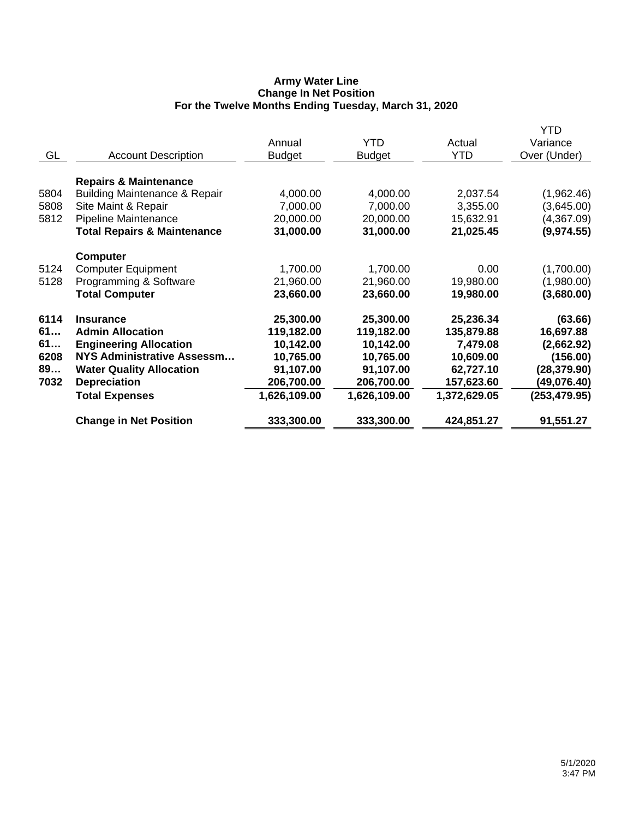## **Army Water Line Change In Net Position For the Twelve Months Ending Tuesday, March 31, 2020**

|                                          |                                                                                                                                                                                                                            |                                                                                          |                                                                                          | YTD                                                                                              |
|------------------------------------------|----------------------------------------------------------------------------------------------------------------------------------------------------------------------------------------------------------------------------|------------------------------------------------------------------------------------------|------------------------------------------------------------------------------------------|--------------------------------------------------------------------------------------------------|
|                                          | Annual                                                                                                                                                                                                                     | <b>YTD</b>                                                                               | Actual                                                                                   | Variance                                                                                         |
| <b>Account Description</b>               | <b>Budget</b>                                                                                                                                                                                                              | <b>Budget</b>                                                                            | <b>YTD</b>                                                                               | Over (Under)                                                                                     |
|                                          |                                                                                                                                                                                                                            |                                                                                          |                                                                                          |                                                                                                  |
| <b>Repairs &amp; Maintenance</b>         |                                                                                                                                                                                                                            |                                                                                          |                                                                                          |                                                                                                  |
| <b>Building Maintenance &amp; Repair</b> | 4,000.00                                                                                                                                                                                                                   | 4,000.00                                                                                 | 2,037.54                                                                                 | (1,962.46)                                                                                       |
| Site Maint & Repair                      | 7,000.00                                                                                                                                                                                                                   | 7,000.00                                                                                 | 3,355.00                                                                                 | (3,645.00)                                                                                       |
| Pipeline Maintenance                     | 20,000.00                                                                                                                                                                                                                  | 20,000.00                                                                                | 15,632.91                                                                                | (4,367.09)                                                                                       |
| <b>Total Repairs &amp; Maintenance</b>   | 31,000.00                                                                                                                                                                                                                  | 31,000.00                                                                                | 21,025.45                                                                                | (9,974.55)                                                                                       |
|                                          |                                                                                                                                                                                                                            |                                                                                          |                                                                                          |                                                                                                  |
|                                          |                                                                                                                                                                                                                            |                                                                                          |                                                                                          | (1,700.00)                                                                                       |
|                                          |                                                                                                                                                                                                                            |                                                                                          |                                                                                          | (1,980.00)                                                                                       |
| <b>Total Computer</b>                    | 23,660.00                                                                                                                                                                                                                  | 23,660.00                                                                                | 19,980.00                                                                                | (3,680.00)                                                                                       |
|                                          |                                                                                                                                                                                                                            |                                                                                          |                                                                                          | (63.66)                                                                                          |
|                                          |                                                                                                                                                                                                                            |                                                                                          |                                                                                          | 16,697.88                                                                                        |
|                                          |                                                                                                                                                                                                                            |                                                                                          |                                                                                          | (2,662.92)                                                                                       |
| NYS Administrative Assessm               |                                                                                                                                                                                                                            |                                                                                          |                                                                                          | (156.00)                                                                                         |
|                                          | 91,107.00                                                                                                                                                                                                                  | 91,107.00                                                                                |                                                                                          | (28, 379.90)                                                                                     |
| <b>Depreciation</b>                      | 206,700.00                                                                                                                                                                                                                 | 206,700.00                                                                               | 157,623.60                                                                               | (49,076.40)                                                                                      |
| <b>Total Expenses</b>                    | 1,626,109.00                                                                                                                                                                                                               | 1,626,109.00                                                                             | 1,372,629.05                                                                             | (253, 479.95)                                                                                    |
|                                          |                                                                                                                                                                                                                            |                                                                                          |                                                                                          | 91,551.27                                                                                        |
|                                          | <b>Computer</b><br><b>Computer Equipment</b><br>Programming & Software<br><b>Insurance</b><br><b>Admin Allocation</b><br><b>Engineering Allocation</b><br><b>Water Quality Allocation</b><br><b>Change in Net Position</b> | 1,700.00<br>21,960.00<br>25,300.00<br>119,182.00<br>10,142.00<br>10,765.00<br>333,300.00 | 1,700.00<br>21,960.00<br>25,300.00<br>119,182.00<br>10,142.00<br>10,765.00<br>333,300.00 | 0.00<br>19,980.00<br>25,236.34<br>135,879.88<br>7,479.08<br>10,609.00<br>62,727.10<br>424,851.27 |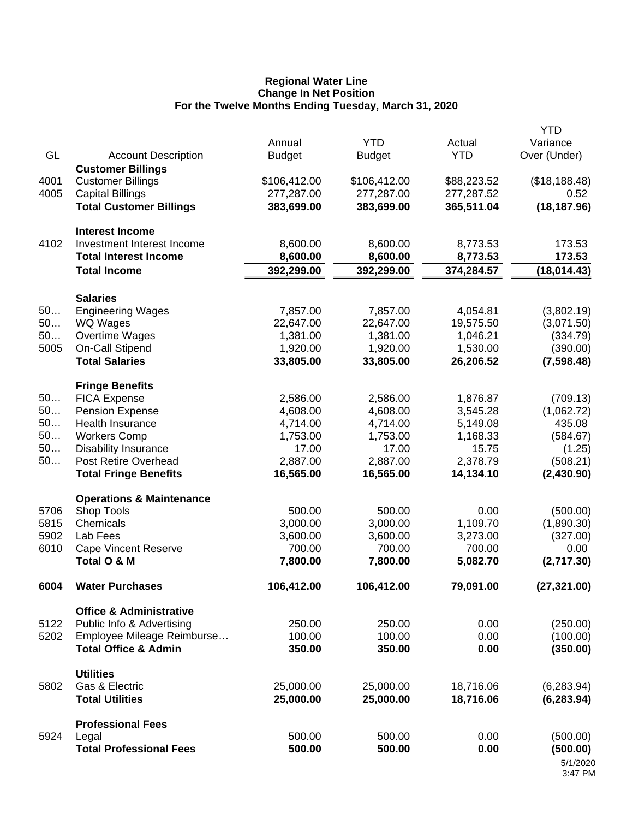#### **Regional Water Line Change In Net Position For the Twelve Months Ending Tuesday, March 31, 2020**

|      |                                                      | Annual                | <b>YTD</b>            | Actual                | <b>YTD</b><br>Variance |
|------|------------------------------------------------------|-----------------------|-----------------------|-----------------------|------------------------|
| GL   | <b>Account Description</b>                           | <b>Budget</b>         | <b>Budget</b>         | <b>YTD</b>            | Over (Under)           |
|      | <b>Customer Billings</b>                             |                       |                       |                       |                        |
| 4001 | <b>Customer Billings</b>                             | \$106,412.00          | \$106,412.00          | \$88,223.52           | (\$18,188.48)          |
| 4005 | <b>Capital Billings</b>                              | 277,287.00            | 277,287.00            | 277,287.52            | 0.52                   |
|      | <b>Total Customer Billings</b>                       | 383,699.00            | 383,699.00            | 365,511.04            | (18, 187.96)           |
|      | <b>Interest Income</b>                               |                       |                       |                       |                        |
| 4102 | Investment Interest Income                           | 8,600.00              | 8,600.00              | 8,773.53              | 173.53                 |
|      | <b>Total Interest Income</b>                         | 8,600.00              | 8,600.00              | 8,773.53              | 173.53                 |
|      | <b>Total Income</b>                                  | 392,299.00            | 392,299.00            | 374,284.57            | (18, 014.43)           |
|      | <b>Salaries</b>                                      |                       |                       |                       |                        |
| 50   | <b>Engineering Wages</b>                             | 7,857.00              | 7,857.00              | 4,054.81              | (3,802.19)             |
| 50   | WQ Wages                                             | 22,647.00             | 22,647.00             | 19,575.50             | (3,071.50)             |
| 50   | Overtime Wages                                       | 1,381.00              | 1,381.00              | 1,046.21              | (334.79)               |
| 5005 | On-Call Stipend                                      | 1,920.00              | 1,920.00              | 1,530.00              | (390.00)               |
|      | <b>Total Salaries</b>                                | 33,805.00             | 33,805.00             | 26,206.52             | (7,598.48)             |
|      | <b>Fringe Benefits</b>                               |                       |                       |                       |                        |
| 50   | <b>FICA Expense</b>                                  | 2,586.00              | 2,586.00              | 1,876.87              | (709.13)               |
| 50   | Pension Expense                                      | 4,608.00              | 4,608.00              | 3,545.28              | (1,062.72)             |
| 50   | <b>Health Insurance</b>                              | 4,714.00              | 4,714.00              | 5,149.08              | 435.08                 |
| 50   | <b>Workers Comp</b>                                  | 1,753.00              | 1,753.00              | 1,168.33              | (584.67)               |
| 50   | <b>Disability Insurance</b>                          | 17.00                 | 17.00                 | 15.75                 | (1.25)                 |
| 50   | Post Retire Overhead<br><b>Total Fringe Benefits</b> | 2,887.00<br>16,565.00 | 2,887.00<br>16,565.00 | 2,378.79<br>14,134.10 | (508.21)<br>(2,430.90) |
|      | <b>Operations &amp; Maintenance</b>                  |                       |                       |                       |                        |
| 5706 | Shop Tools                                           | 500.00                | 500.00                | 0.00                  | (500.00)               |
| 5815 | Chemicals                                            | 3,000.00              | 3,000.00              | 1,109.70              | (1,890.30)             |
| 5902 | Lab Fees                                             | 3,600.00              | 3,600.00              | 3,273.00              | (327.00)               |
| 6010 | <b>Cape Vincent Reserve</b>                          | 700.00                | 700.00                | 700.00                | 0.00                   |
|      | Total O & M                                          | 7,800.00              | 7,800.00              | 5,082.70              | (2,717.30)             |
| 6004 | <b>Water Purchases</b>                               | 106,412.00            | 106,412.00            | 79,091.00             | (27, 321.00)           |
|      | <b>Office &amp; Administrative</b>                   |                       |                       |                       |                        |
| 5122 | Public Info & Advertising                            | 250.00                | 250.00                | 0.00                  | (250.00)               |
| 5202 | Employee Mileage Reimburse                           | 100.00                | 100.00                | 0.00                  | (100.00)               |
|      | <b>Total Office &amp; Admin</b>                      | 350.00                | 350.00                | 0.00                  | (350.00)               |
|      | <b>Utilities</b>                                     |                       |                       |                       |                        |
| 5802 | Gas & Electric                                       | 25,000.00             | 25,000.00             | 18,716.06             | (6, 283.94)            |
|      | <b>Total Utilities</b>                               | 25,000.00             | 25,000.00             | 18,716.06             | (6, 283.94)            |
|      | <b>Professional Fees</b>                             |                       |                       |                       |                        |
| 5924 | Legal                                                | 500.00                | 500.00                | 0.00                  | (500.00)               |
|      | <b>Total Professional Fees</b>                       | 500.00                | 500.00                | 0.00                  | (500.00)               |
|      |                                                      |                       |                       |                       | 5/1/2020<br>3:47 PM    |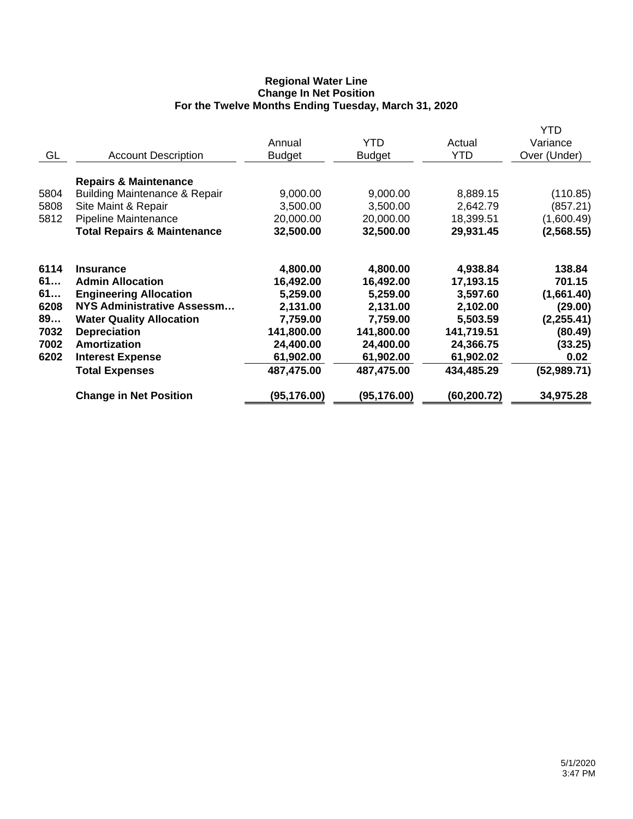## **Regional Water Line Change In Net Position For the Twelve Months Ending Tuesday, March 31, 2020**

|      |                                          |               |               |              | <b>YTD</b>   |
|------|------------------------------------------|---------------|---------------|--------------|--------------|
|      |                                          | Annual        | <b>YTD</b>    | Actual       | Variance     |
| GL   | <b>Account Description</b>               | <b>Budget</b> | <b>Budget</b> | <b>YTD</b>   | Over (Under) |
|      | <b>Repairs &amp; Maintenance</b>         |               |               |              |              |
| 5804 | <b>Building Maintenance &amp; Repair</b> | 9,000.00      | 9,000.00      | 8,889.15     | (110.85)     |
| 5808 | Site Maint & Repair                      | 3,500.00      | 3,500.00      | 2,642.79     | (857.21)     |
| 5812 | Pipeline Maintenance                     | 20,000.00     | 20,000.00     | 18,399.51    | (1,600.49)   |
|      | <b>Total Repairs &amp; Maintenance</b>   | 32,500.00     | 32,500.00     | 29,931.45    | (2,568.55)   |
| 6114 | <b>Insurance</b>                         | 4,800.00      | 4,800.00      | 4,938.84     | 138.84       |
| 61   | <b>Admin Allocation</b>                  | 16,492.00     | 16,492.00     | 17,193.15    | 701.15       |
| 61   | <b>Engineering Allocation</b>            | 5,259.00      | 5,259.00      | 3,597.60     | (1,661.40)   |
| 6208 | NYS Administrative Assessm               | 2,131.00      | 2,131.00      | 2,102.00     | (29.00)      |
| 89   | <b>Water Quality Allocation</b>          | 7,759.00      | 7,759.00      | 5,503.59     | (2, 255.41)  |
| 7032 | <b>Depreciation</b>                      | 141,800.00    | 141,800.00    | 141,719.51   | (80.49)      |
| 7002 | Amortization                             | 24,400.00     | 24,400.00     | 24,366.75    | (33.25)      |
| 6202 | <b>Interest Expense</b>                  | 61,902.00     | 61,902.00     | 61,902.02    | 0.02         |
|      | <b>Total Expenses</b>                    | 487,475.00    | 487,475.00    | 434,485.29   | (52, 989.71) |
|      | <b>Change in Net Position</b>            | (95, 176.00)  | (95, 176.00)  | (60, 200.72) | 34,975.28    |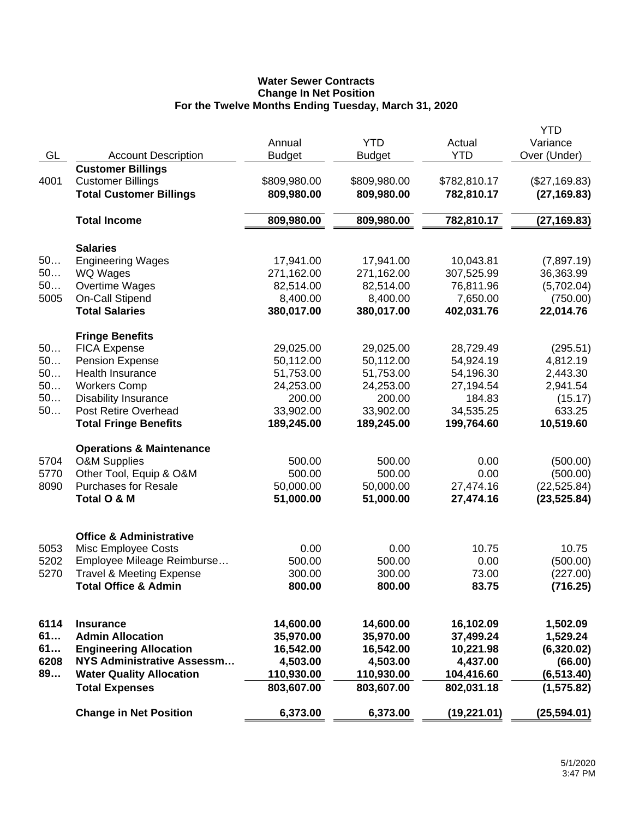# **Water Sewer Contracts Change In Net Position For the Twelve Months Ending Tuesday, March 31, 2020**

|      |                                             |               |               |              | <b>YTD</b>    |
|------|---------------------------------------------|---------------|---------------|--------------|---------------|
|      |                                             | Annual        | <b>YTD</b>    | Actual       | Variance      |
| GL   | <b>Account Description</b>                  | <b>Budget</b> | <b>Budget</b> | <b>YTD</b>   | Over (Under)  |
|      | <b>Customer Billings</b>                    |               |               |              |               |
| 4001 | <b>Customer Billings</b>                    | \$809,980.00  | \$809,980.00  | \$782,810.17 | (\$27,169.83) |
|      | <b>Total Customer Billings</b>              | 809,980.00    | 809,980.00    | 782,810.17   | (27, 169.83)  |
|      | <b>Total Income</b>                         | 809,980.00    | 809,980.00    | 782,810.17   | (27, 169.83)  |
|      |                                             |               |               |              |               |
| 50   | <b>Salaries</b><br><b>Engineering Wages</b> | 17,941.00     | 17,941.00     | 10,043.81    | (7,897.19)    |
| 50   | WQ Wages                                    | 271,162.00    | 271,162.00    | 307,525.99   |               |
| 50   |                                             |               |               |              | 36,363.99     |
|      | Overtime Wages                              | 82,514.00     | 82,514.00     | 76,811.96    | (5,702.04)    |
| 5005 | On-Call Stipend                             | 8,400.00      | 8,400.00      | 7,650.00     | (750.00)      |
|      | <b>Total Salaries</b>                       | 380,017.00    | 380,017.00    | 402,031.76   | 22,014.76     |
|      | <b>Fringe Benefits</b>                      |               |               |              |               |
| 50   | <b>FICA Expense</b>                         | 29,025.00     | 29,025.00     | 28,729.49    | (295.51)      |
| 50   | <b>Pension Expense</b>                      | 50,112.00     | 50,112.00     | 54,924.19    | 4,812.19      |
| 50   | <b>Health Insurance</b>                     | 51,753.00     | 51,753.00     | 54,196.30    | 2,443.30      |
| 50   | <b>Workers Comp</b>                         | 24,253.00     | 24,253.00     | 27,194.54    | 2,941.54      |
| 50   | <b>Disability Insurance</b>                 | 200.00        | 200.00        | 184.83       | (15.17)       |
| 50   | Post Retire Overhead                        | 33,902.00     | 33,902.00     | 34,535.25    | 633.25        |
|      | <b>Total Fringe Benefits</b>                | 189,245.00    | 189,245.00    | 199,764.60   | 10,519.60     |
|      | <b>Operations &amp; Maintenance</b>         |               |               |              |               |
| 5704 | <b>O&amp;M Supplies</b>                     | 500.00        | 500.00        | 0.00         | (500.00)      |
| 5770 | Other Tool, Equip & O&M                     | 500.00        | 500.00        | 0.00         | (500.00)      |
| 8090 | <b>Purchases for Resale</b>                 | 50,000.00     | 50,000.00     | 27,474.16    | (22, 525.84)  |
|      | Total O & M                                 | 51,000.00     | 51,000.00     | 27,474.16    | (23, 525.84)  |
|      |                                             |               |               |              |               |
|      | <b>Office &amp; Administrative</b>          |               |               |              |               |
| 5053 | Misc Employee Costs                         | 0.00          | 0.00          | 10.75        | 10.75         |
| 5202 | Employee Mileage Reimburse                  | 500.00        | 500.00        | 0.00         | (500.00)      |
| 5270 | <b>Travel &amp; Meeting Expense</b>         | 300.00        | 300.00        | 73.00        | (227.00)      |
|      | <b>Total Office &amp; Admin</b>             | 800.00        | 800.00        | 83.75        | (716.25)      |
|      |                                             |               |               |              |               |
| 6114 | <b>Insurance</b>                            | 14,600.00     | 14,600.00     | 16,102.09    | 1,502.09      |
| 61   | <b>Admin Allocation</b>                     | 35,970.00     | 35,970.00     | 37,499.24    | 1,529.24      |
| 61   | <b>Engineering Allocation</b>               | 16,542.00     | 16,542.00     | 10,221.98    | (6,320.02)    |
| 6208 | <b>NYS Administrative Assessm</b>           | 4,503.00      | 4,503.00      | 4,437.00     | (66.00)       |
| 89   | <b>Water Quality Allocation</b>             | 110,930.00    | 110,930.00    | 104,416.60   | (6, 513.40)   |
|      | <b>Total Expenses</b>                       | 803,607.00    | 803,607.00    | 802,031.18   | (1, 575.82)   |
|      | <b>Change in Net Position</b>               | 6,373.00      | 6,373.00      | (19, 221.01) | (25, 594.01)  |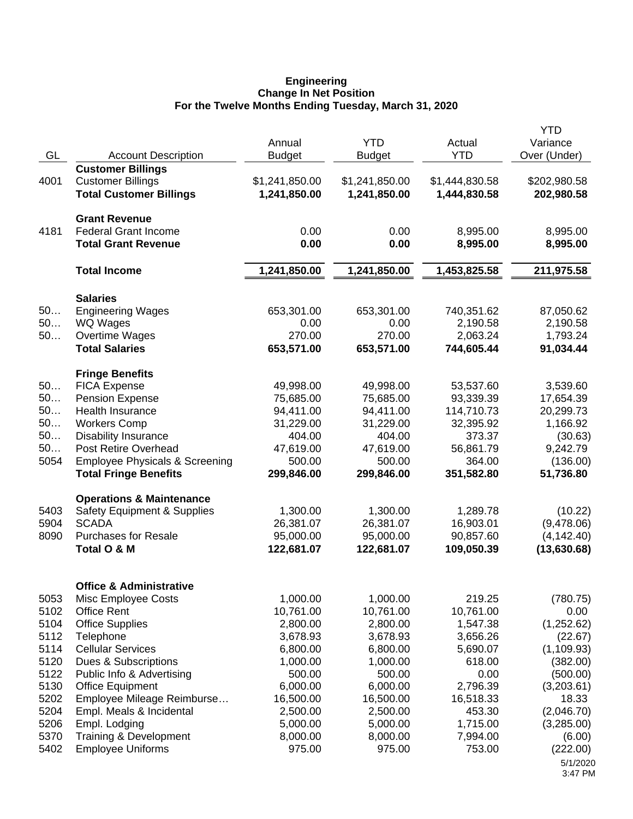#### **Engineering Change In Net Position For the Twelve Months Ending Tuesday, March 31, 2020**

|      |                                           |                |                |                | <b>YTD</b>          |
|------|-------------------------------------------|----------------|----------------|----------------|---------------------|
|      |                                           | Annual         | <b>YTD</b>     | Actual         | Variance            |
| GL   | <b>Account Description</b>                | <b>Budget</b>  | <b>Budget</b>  | <b>YTD</b>     | Over (Under)        |
|      | <b>Customer Billings</b>                  |                |                |                |                     |
| 4001 | <b>Customer Billings</b>                  | \$1,241,850.00 | \$1,241,850.00 | \$1,444,830.58 | \$202,980.58        |
|      | <b>Total Customer Billings</b>            | 1,241,850.00   | 1,241,850.00   | 1,444,830.58   | 202,980.58          |
|      | <b>Grant Revenue</b>                      |                |                |                |                     |
| 4181 | <b>Federal Grant Income</b>               | 0.00           | 0.00           | 8,995.00       | 8,995.00            |
|      | <b>Total Grant Revenue</b>                | 0.00           | 0.00           | 8,995.00       | 8,995.00            |
|      | <b>Total Income</b>                       | 1,241,850.00   | 1,241,850.00   | 1,453,825.58   | 211,975.58          |
|      | <b>Salaries</b>                           |                |                |                |                     |
| 50   | <b>Engineering Wages</b>                  | 653,301.00     | 653,301.00     | 740,351.62     | 87,050.62           |
| 50   | WQ Wages                                  | 0.00           | 0.00           | 2,190.58       | 2,190.58            |
| 50   | Overtime Wages                            | 270.00         | 270.00         | 2,063.24       | 1,793.24            |
|      | <b>Total Salaries</b>                     | 653,571.00     | 653,571.00     | 744,605.44     | 91,034.44           |
|      | <b>Fringe Benefits</b>                    |                |                |                |                     |
| 50   | <b>FICA Expense</b>                       | 49,998.00      | 49,998.00      | 53,537.60      | 3,539.60            |
| 50   | <b>Pension Expense</b>                    | 75,685.00      | 75,685.00      | 93,339.39      | 17,654.39           |
| 50   | Health Insurance                          | 94,411.00      | 94,411.00      | 114,710.73     | 20,299.73           |
| 50   | <b>Workers Comp</b>                       | 31,229.00      | 31,229.00      | 32,395.92      | 1,166.92            |
| 50   | <b>Disability Insurance</b>               | 404.00         | 404.00         | 373.37         | (30.63)             |
| 50   | <b>Post Retire Overhead</b>               | 47,619.00      | 47,619.00      | 56,861.79      | 9,242.79            |
| 5054 | <b>Employee Physicals &amp; Screening</b> | 500.00         | 500.00         | 364.00         | (136.00)            |
|      | <b>Total Fringe Benefits</b>              | 299,846.00     | 299,846.00     | 351,582.80     | 51,736.80           |
|      | <b>Operations &amp; Maintenance</b>       |                |                |                |                     |
| 5403 | <b>Safety Equipment &amp; Supplies</b>    | 1,300.00       | 1,300.00       | 1,289.78       | (10.22)             |
| 5904 | <b>SCADA</b>                              | 26,381.07      | 26,381.07      | 16,903.01      | (9,478.06)          |
| 8090 | <b>Purchases for Resale</b>               | 95,000.00      | 95,000.00      | 90,857.60      | (4, 142.40)         |
|      | Total O & M                               | 122,681.07     | 122,681.07     | 109,050.39     | (13,630.68)         |
|      | <b>Office &amp; Administrative</b>        |                |                |                |                     |
| 5053 | Misc Employee Costs                       | 1,000.00       | 1,000.00       | 219.25         | (780.75)            |
| 5102 | <b>Office Rent</b>                        | 10,761.00      | 10,761.00      | 10,761.00      | 0.00                |
| 5104 | <b>Office Supplies</b>                    | 2,800.00       | 2,800.00       | 1,547.38       | (1,252.62)          |
| 5112 | Telephone                                 | 3,678.93       | 3,678.93       | 3,656.26       | (22.67)             |
| 5114 | <b>Cellular Services</b>                  | 6,800.00       | 6,800.00       | 5,690.07       | (1, 109.93)         |
| 5120 | Dues & Subscriptions                      | 1,000.00       | 1,000.00       | 618.00         | (382.00)            |
| 5122 | Public Info & Advertising                 | 500.00         | 500.00         | 0.00           | (500.00)            |
| 5130 | <b>Office Equipment</b>                   | 6,000.00       | 6,000.00       | 2,796.39       | (3,203.61)          |
| 5202 | Employee Mileage Reimburse                | 16,500.00      | 16,500.00      | 16,518.33      | 18.33               |
| 5204 | Empl. Meals & Incidental                  | 2,500.00       | 2,500.00       | 453.30         | (2,046.70)          |
| 5206 | Empl. Lodging                             | 5,000.00       | 5,000.00       | 1,715.00       | (3,285.00)          |
| 5370 | Training & Development                    | 8,000.00       | 8,000.00       | 7,994.00       | (6.00)              |
| 5402 | <b>Employee Uniforms</b>                  | 975.00         | 975.00         | 753.00         | (222.00)            |
|      |                                           |                |                |                | 5/1/2020<br>3:47 PM |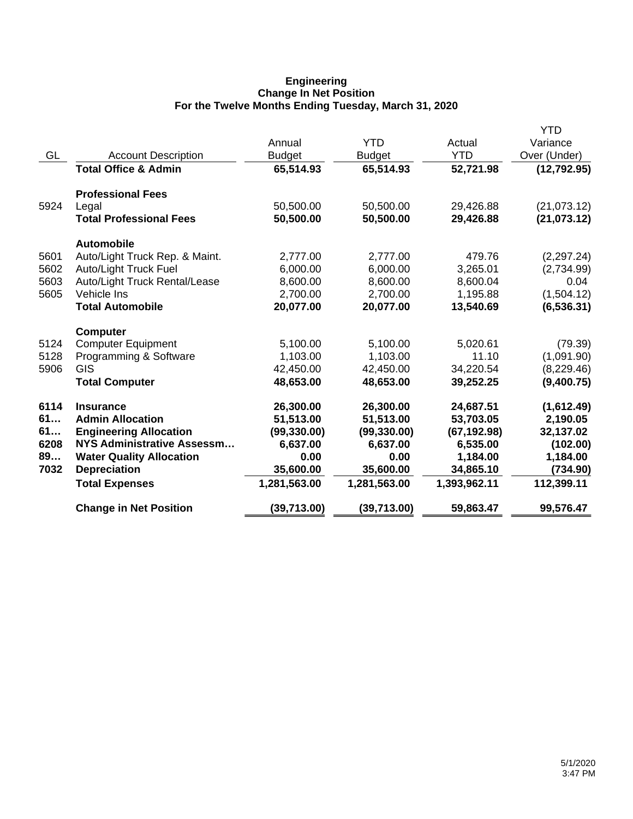## **Engineering Change In Net Position For the Twelve Months Ending Tuesday, March 31, 2020**

| GL   | <b>Account Description</b><br><b>Total Office &amp; Admin</b> | Annual<br><b>Budget</b><br>65,514.93 | <b>YTD</b><br><b>Budget</b><br>65,514.93 | Actual<br><b>YTD</b><br>52,721.98 | YTD<br>Variance<br>Over (Under)<br>(12, 792.95) |
|------|---------------------------------------------------------------|--------------------------------------|------------------------------------------|-----------------------------------|-------------------------------------------------|
|      | <b>Professional Fees</b>                                      |                                      |                                          |                                   |                                                 |
| 5924 | Legal<br><b>Total Professional Fees</b>                       | 50,500.00<br>50,500.00               | 50,500.00<br>50,500.00                   | 29,426.88<br>29,426.88            | (21,073.12)<br>(21, 073.12)                     |
|      | <b>Automobile</b>                                             |                                      |                                          |                                   |                                                 |
| 5601 | Auto/Light Truck Rep. & Maint.                                | 2,777.00                             | 2,777.00                                 | 479.76                            | (2, 297.24)                                     |
| 5602 | Auto/Light Truck Fuel                                         | 6,000.00                             | 6,000.00                                 | 3,265.01                          | (2,734.99)                                      |
| 5603 | Auto/Light Truck Rental/Lease                                 | 8,600.00                             | 8,600.00                                 | 8,600.04                          | 0.04                                            |
| 5605 | Vehicle Ins                                                   | 2,700.00                             | 2,700.00                                 | 1,195.88                          | (1,504.12)                                      |
|      | <b>Total Automobile</b>                                       | 20,077.00                            | 20,077.00                                | 13,540.69                         | (6, 536.31)                                     |
|      | <b>Computer</b>                                               |                                      |                                          |                                   |                                                 |
| 5124 | <b>Computer Equipment</b>                                     | 5,100.00                             | 5,100.00                                 | 5,020.61                          | (79.39)                                         |
| 5128 | Programming & Software                                        | 1,103.00                             | 1,103.00                                 | 11.10                             | (1,091.90)                                      |
| 5906 | GIS                                                           | 42,450.00                            | 42,450.00                                | 34,220.54                         | (8,229.46)                                      |
|      | <b>Total Computer</b>                                         | 48,653.00                            | 48,653.00                                | 39,252.25                         | (9,400.75)                                      |
| 6114 | <b>Insurance</b>                                              | 26,300.00                            | 26,300.00                                | 24,687.51                         | (1,612.49)                                      |
| 61   | <b>Admin Allocation</b>                                       | 51,513.00                            | 51,513.00                                | 53,703.05                         | 2,190.05                                        |
| 61   | <b>Engineering Allocation</b>                                 | (99, 330.00)                         | (99, 330.00)                             | (67, 192.98)                      | 32,137.02                                       |
| 6208 | NYS Administrative Assessm                                    | 6,637.00                             | 6,637.00                                 | 6,535.00                          | (102.00)                                        |
| 89   | <b>Water Quality Allocation</b>                               | 0.00                                 | 0.00                                     | 1,184.00                          | 1,184.00                                        |
| 7032 | <b>Depreciation</b>                                           | 35,600.00                            | 35,600.00                                | 34,865.10                         | (734.90)                                        |
|      | <b>Total Expenses</b>                                         | 1,281,563.00                         | 1,281,563.00                             | 1,393,962.11                      | 112,399.11                                      |
|      | <b>Change in Net Position</b>                                 | (39, 713.00)                         | (39, 713.00)                             | 59,863.47                         | 99,576.47                                       |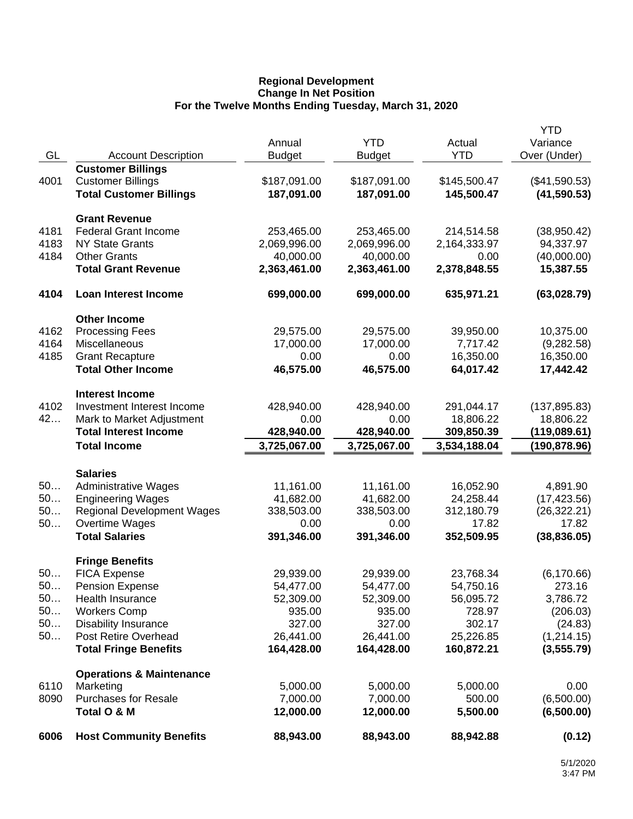## **Regional Development Change In Net Position For the Twelve Months Ending Tuesday, March 31, 2020**

|      |                                     |               |               |              | <b>YTD</b>    |
|------|-------------------------------------|---------------|---------------|--------------|---------------|
|      |                                     | Annual        | <b>YTD</b>    | Actual       | Variance      |
| GL   | <b>Account Description</b>          | <b>Budget</b> | <b>Budget</b> | <b>YTD</b>   | Over (Under)  |
| 4001 | <b>Customer Billings</b>            |               |               |              |               |
|      | <b>Customer Billings</b>            | \$187,091.00  | \$187,091.00  | \$145,500.47 | (\$41,590.53) |
|      | <b>Total Customer Billings</b>      | 187,091.00    | 187,091.00    | 145,500.47   | (41, 590.53)  |
|      | <b>Grant Revenue</b>                |               |               |              |               |
| 4181 | <b>Federal Grant Income</b>         | 253,465.00    | 253,465.00    | 214,514.58   | (38,950.42)   |
| 4183 | <b>NY State Grants</b>              | 2,069,996.00  | 2,069,996.00  | 2,164,333.97 | 94,337.97     |
| 4184 | <b>Other Grants</b>                 | 40,000.00     | 40,000.00     | 0.00         | (40,000.00)   |
|      | <b>Total Grant Revenue</b>          | 2,363,461.00  | 2,363,461.00  | 2,378,848.55 | 15,387.55     |
| 4104 | <b>Loan Interest Income</b>         | 699,000.00    | 699,000.00    | 635,971.21   | (63,028.79)   |
|      | <b>Other Income</b>                 |               |               |              |               |
| 4162 | <b>Processing Fees</b>              | 29,575.00     | 29,575.00     | 39,950.00    | 10,375.00     |
| 4164 | Miscellaneous                       | 17,000.00     | 17,000.00     | 7,717.42     | (9,282.58)    |
| 4185 | <b>Grant Recapture</b>              | 0.00          | 0.00          | 16,350.00    | 16,350.00     |
|      | <b>Total Other Income</b>           | 46,575.00     | 46,575.00     | 64,017.42    | 17,442.42     |
|      | <b>Interest Income</b>              |               |               |              |               |
| 4102 | Investment Interest Income          | 428,940.00    | 428,940.00    | 291,044.17   | (137, 895.83) |
| 42   | Mark to Market Adjustment           | 0.00          | 0.00          | 18,806.22    | 18,806.22     |
|      | <b>Total Interest Income</b>        | 428,940.00    | 428,940.00    | 309,850.39   | (119,089.61)  |
|      | <b>Total Income</b>                 | 3,725,067.00  | 3,725,067.00  | 3,534,188.04 | (190, 878.96) |
|      | <b>Salaries</b>                     |               |               |              |               |
| 50   | <b>Administrative Wages</b>         | 11,161.00     | 11,161.00     | 16,052.90    | 4,891.90      |
| 50   | <b>Engineering Wages</b>            | 41,682.00     | 41,682.00     | 24,258.44    | (17, 423.56)  |
| 50   | <b>Regional Development Wages</b>   | 338,503.00    | 338,503.00    | 312,180.79   | (26, 322.21)  |
| 50   | Overtime Wages                      | 0.00          | 0.00          | 17.82        | 17.82         |
|      | <b>Total Salaries</b>               | 391,346.00    | 391,346.00    | 352,509.95   | (38, 836.05)  |
|      | <b>Fringe Benefits</b>              |               |               |              |               |
| 50   | <b>FICA Expense</b>                 | 29,939.00     | 29,939.00     | 23,768.34    | (6, 170.66)   |
| 50.  | <b>Pension Expense</b>              | 54,477.00     | 54,477.00     | 54,750.16    | 273.16        |
| 50   | Health Insurance                    | 52,309.00     | 52,309.00     | 56,095.72    | 3,786.72      |
| 50   | <b>Workers Comp</b>                 | 935.00        | 935.00        | 728.97       | (206.03)      |
| 50   | <b>Disability Insurance</b>         | 327.00        | 327.00        | 302.17       | (24.83)       |
| 50   | Post Retire Overhead                | 26,441.00     | 26,441.00     | 25,226.85    | (1,214.15)    |
|      | <b>Total Fringe Benefits</b>        | 164,428.00    | 164,428.00    | 160,872.21   | (3, 555.79)   |
|      | <b>Operations &amp; Maintenance</b> |               |               |              |               |
| 6110 | Marketing                           | 5,000.00      | 5,000.00      | 5,000.00     | 0.00          |
| 8090 | <b>Purchases for Resale</b>         | 7,000.00      | 7,000.00      | 500.00       | (6,500.00)    |
|      | Total O & M                         | 12,000.00     | 12,000.00     | 5,500.00     | (6,500.00)    |
| 6006 | <b>Host Community Benefits</b>      | 88,943.00     | 88,943.00     | 88,942.88    | (0.12)        |
|      |                                     |               |               |              |               |